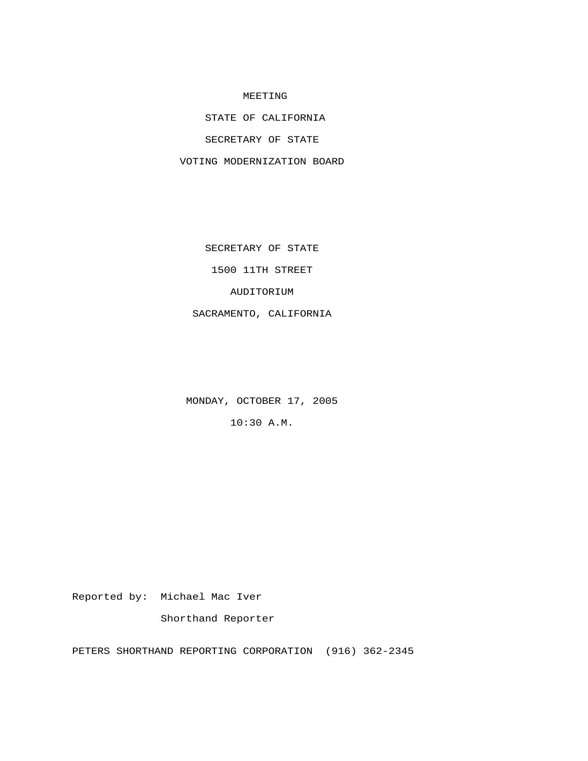## MEETING

STATE OF CALIFORNIA

SECRETARY OF STATE

VOTING MODERNIZATION BOARD

SECRETARY OF STATE

1500 11TH STREET

AUDITORIUM

SACRAMENTO, CALIFORNIA

MONDAY, OCTOBER 17, 2005

10:30 A.M.

Reported by: Michael Mac Iver

Shorthand Reporter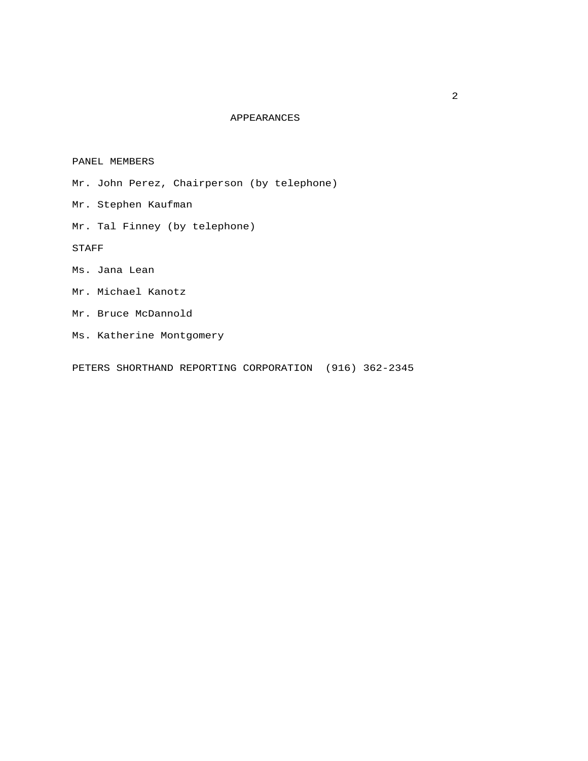## APPEARANCES

PANEL MEMBERS

- Mr. John Perez, Chairperson (by telephone)
- Mr. Stephen Kaufman
- Mr. Tal Finney (by telephone)

STAFF

- Ms. Jana Lean
- Mr. Michael Kanotz
- Mr. Bruce McDannold
- Ms. Katherine Montgomery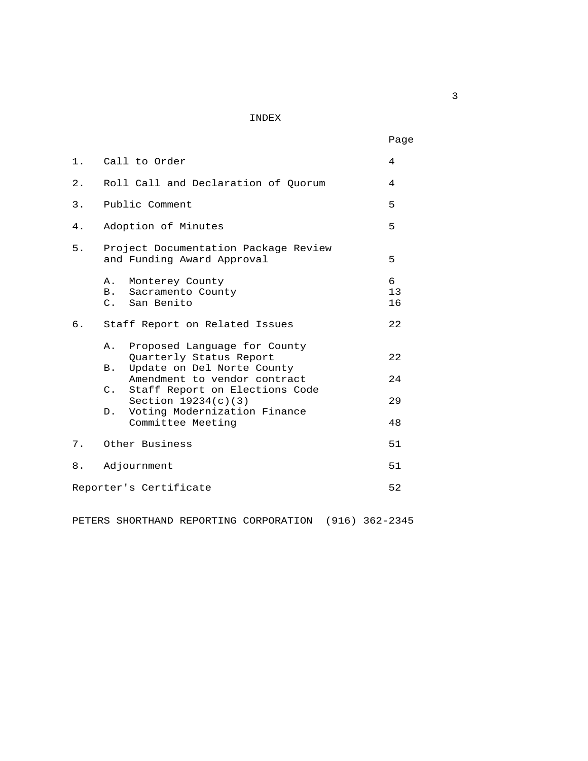INDEX

|       |                                                                                                                                   | Page          |
|-------|-----------------------------------------------------------------------------------------------------------------------------------|---------------|
| $1$ . | Call to Order                                                                                                                     | 4             |
| 2.    | Roll Call and Declaration of Quorum                                                                                               | 4             |
| 3.    | Public Comment                                                                                                                    | 5             |
| 4.    | Adoption of Minutes                                                                                                               | 5             |
| 5.    | Project Documentation Package Review<br>and Funding Award Approval                                                                | 5             |
|       | Monterey County<br>Α.<br>B.<br>Sacramento County<br>C. San Benito                                                                 | 6<br>13<br>16 |
| б.    | Staff Report on Related Issues                                                                                                    | 22            |
|       | Proposed Language for County<br>Α.<br>Quarterly Status Report<br>Update on Del Norte County<br>B.<br>Amendment to vendor contract | 22<br>24      |
|       | C. Staff Report on Elections Code<br>Section $19234(c)(3)$<br>Voting Modernization Finance<br>$D$ .<br>Committee Meeting          | 29<br>48      |
| 7.    | Other Business                                                                                                                    | 51            |
| 8.    | Adjournment                                                                                                                       | 51            |
|       | Reporter's Certificate                                                                                                            | 52            |
|       |                                                                                                                                   |               |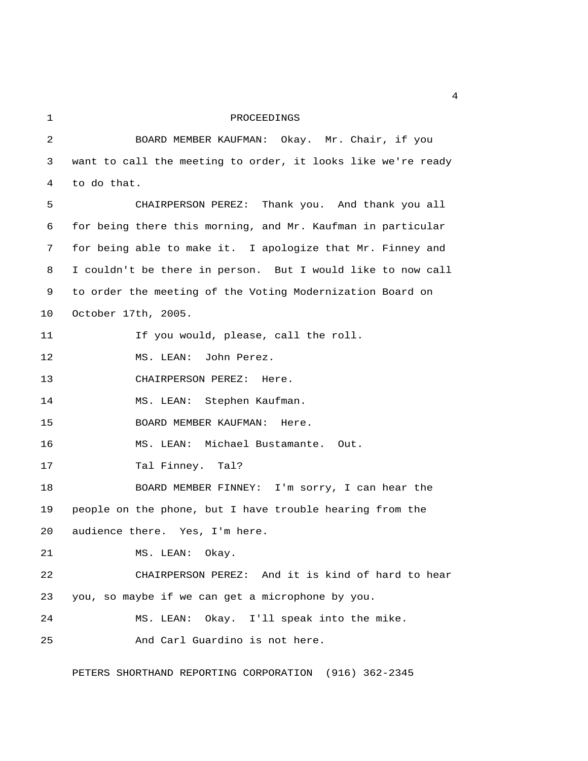## 1 PROCEEDINGS

 2 BOARD MEMBER KAUFMAN: Okay. Mr. Chair, if you 3 want to call the meeting to order, it looks like we're ready 4 to do that. 5 CHAIRPERSON PEREZ: Thank you. And thank you all 6 for being there this morning, and Mr. Kaufman in particular 7 for being able to make it. I apologize that Mr. Finney and 8 I couldn't be there in person. But I would like to now call 9 to order the meeting of the Voting Modernization Board on 10 October 17th, 2005. 11 11 If you would, please, call the roll. 12 MS. LEAN: John Perez. 13 CHAIRPERSON PEREZ: Here. 14 MS. LEAN: Stephen Kaufman. 15 BOARD MEMBER KAUFMAN: Here. 16 MS. LEAN: Michael Bustamante. Out. 17 Tal Finney. Tal? 18 BOARD MEMBER FINNEY: I'm sorry, I can hear the 19 people on the phone, but I have trouble hearing from the 20 audience there. Yes, I'm here. 21 MS. LEAN: Okay. 22 CHAIRPERSON PEREZ: And it is kind of hard to hear 23 you, so maybe if we can get a microphone by you. 24 MS. LEAN: Okay. I'll speak into the mike. 25 And Carl Guardino is not here.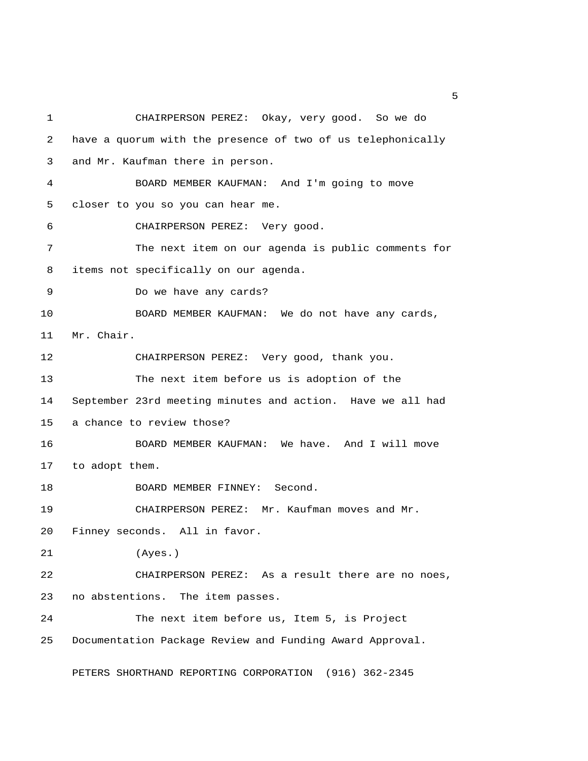1 CHAIRPERSON PEREZ: Okay, very good. So we do 2 have a quorum with the presence of two of us telephonically 3 and Mr. Kaufman there in person. 4 BOARD MEMBER KAUFMAN: And I'm going to move 5 closer to you so you can hear me. 6 CHAIRPERSON PEREZ: Very good. 7 The next item on our agenda is public comments for 8 items not specifically on our agenda. 9 Do we have any cards? 10 BOARD MEMBER KAUFMAN: We do not have any cards, 11 Mr. Chair. 12 CHAIRPERSON PEREZ: Very good, thank you. 13 The next item before us is adoption of the 14 September 23rd meeting minutes and action. Have we all had 15 a chance to review those? 16 BOARD MEMBER KAUFMAN: We have. And I will move 17 to adopt them. 18 BOARD MEMBER FINNEY: Second. 19 CHAIRPERSON PEREZ: Mr. Kaufman moves and Mr. 20 Finney seconds. All in favor. 21 (Ayes.) 22 CHAIRPERSON PEREZ: As a result there are no noes, 23 no abstentions. The item passes. 24 The next item before us, Item 5, is Project 25 Documentation Package Review and Funding Award Approval.

PETERS SHORTHAND REPORTING CORPORATION (916) 362-2345

 $\sim$  5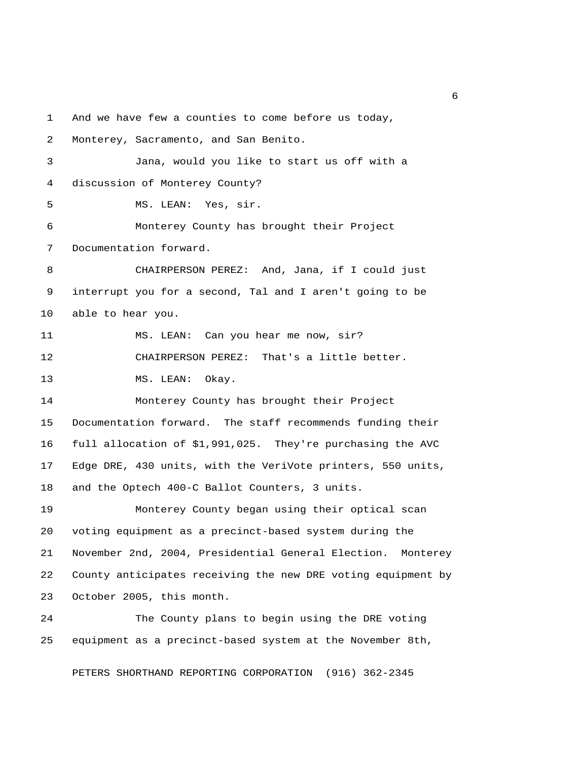1 And we have few a counties to come before us today,

2 Monterey, Sacramento, and San Benito.

 3 Jana, would you like to start us off with a 4 discussion of Monterey County?

5 MS. LEAN: Yes, sir.

 6 Monterey County has brought their Project 7 Documentation forward.

 8 CHAIRPERSON PEREZ: And, Jana, if I could just 9 interrupt you for a second, Tal and I aren't going to be 10 able to hear you.

11 MS. LEAN: Can you hear me now, sir? 12 CHAIRPERSON PEREZ: That's a little better.

13 MS. LEAN: Okay.

14 Monterey County has brought their Project 15 Documentation forward. The staff recommends funding their 16 full allocation of \$1,991,025. They're purchasing the AVC 17 Edge DRE, 430 units, with the VeriVote printers, 550 units, 18 and the Optech 400-C Ballot Counters, 3 units.

19 Monterey County began using their optical scan 20 voting equipment as a precinct-based system during the 21 November 2nd, 2004, Presidential General Election. Monterey 22 County anticipates receiving the new DRE voting equipment by 23 October 2005, this month.

24 The County plans to begin using the DRE voting 25 equipment as a precinct-based system at the November 8th,

PETERS SHORTHAND REPORTING CORPORATION (916) 362-2345

 $\overline{6}$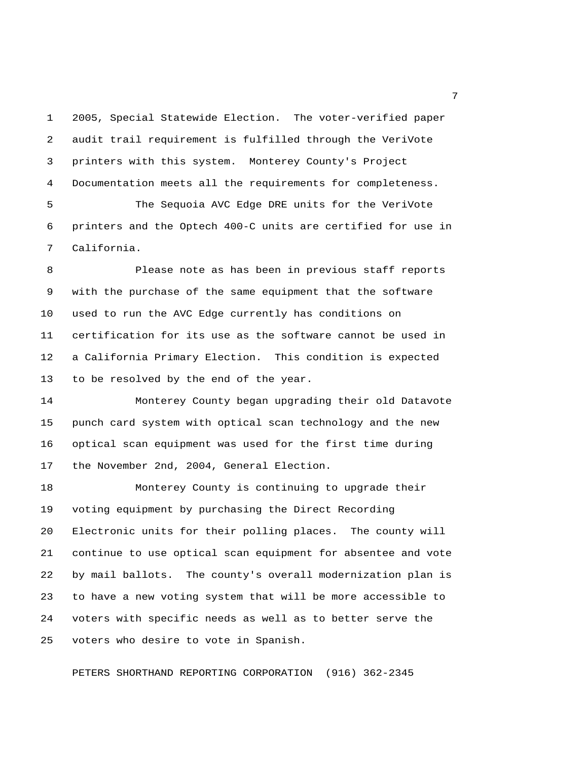1 2005, Special Statewide Election. The voter-verified paper 2 audit trail requirement is fulfilled through the VeriVote 3 printers with this system. Monterey County's Project 4 Documentation meets all the requirements for completeness.

 5 The Sequoia AVC Edge DRE units for the VeriVote 6 printers and the Optech 400-C units are certified for use in 7 California.

 8 Please note as has been in previous staff reports 9 with the purchase of the same equipment that the software 10 used to run the AVC Edge currently has conditions on 11 certification for its use as the software cannot be used in 12 a California Primary Election. This condition is expected 13 to be resolved by the end of the year.

14 Monterey County began upgrading their old Datavote 15 punch card system with optical scan technology and the new 16 optical scan equipment was used for the first time during 17 the November 2nd, 2004, General Election.

18 Monterey County is continuing to upgrade their 19 voting equipment by purchasing the Direct Recording 20 Electronic units for their polling places. The county will 21 continue to use optical scan equipment for absentee and vote 22 by mail ballots. The county's overall modernization plan is 23 to have a new voting system that will be more accessible to 24 voters with specific needs as well as to better serve the 25 voters who desire to vote in Spanish.

PETERS SHORTHAND REPORTING CORPORATION (916) 362-2345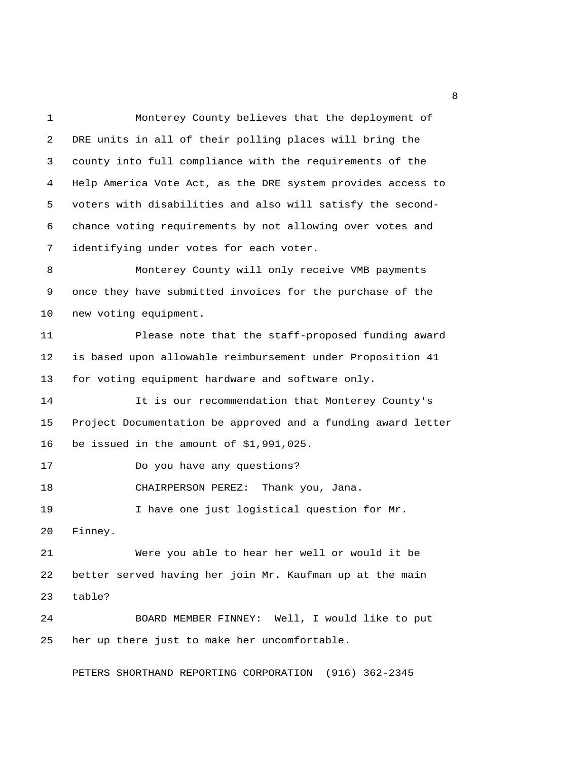1 Monterey County believes that the deployment of 2 DRE units in all of their polling places will bring the 3 county into full compliance with the requirements of the 4 Help America Vote Act, as the DRE system provides access to 5 voters with disabilities and also will satisfy the second- 6 chance voting requirements by not allowing over votes and 7 identifying under votes for each voter. 8 Monterey County will only receive VMB payments 9 once they have submitted invoices for the purchase of the 10 new voting equipment. 11 Please note that the staff-proposed funding award 12 is based upon allowable reimbursement under Proposition 41 13 for voting equipment hardware and software only. 14 It is our recommendation that Monterey County's 15 Project Documentation be approved and a funding award letter 16 be issued in the amount of \$1,991,025. 17 Do you have any questions? 18 CHAIRPERSON PEREZ: Thank you, Jana. 19 I have one just logistical question for Mr. 20 Finney. 21 Were you able to hear her well or would it be 22 better served having her join Mr. Kaufman up at the main 23 table? 24 BOARD MEMBER FINNEY: Well, I would like to put 25 her up there just to make her uncomfortable.

PETERS SHORTHAND REPORTING CORPORATION (916) 362-2345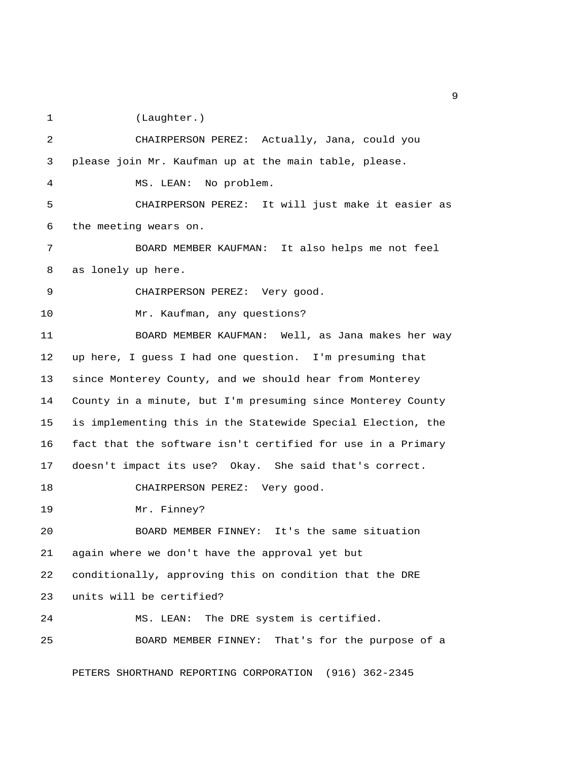1 (Laughter.)

 2 CHAIRPERSON PEREZ: Actually, Jana, could you 3 please join Mr. Kaufman up at the main table, please. 4 MS. LEAN: No problem. 5 CHAIRPERSON PEREZ: It will just make it easier as 6 the meeting wears on. 7 BOARD MEMBER KAUFMAN: It also helps me not feel 8 as lonely up here. 9 CHAIRPERSON PEREZ: Very good. 10 Mr. Kaufman, any questions? 11 BOARD MEMBER KAUFMAN: Well, as Jana makes her way 12 up here, I guess I had one question. I'm presuming that 13 since Monterey County, and we should hear from Monterey 14 County in a minute, but I'm presuming since Monterey County 15 is implementing this in the Statewide Special Election, the 16 fact that the software isn't certified for use in a Primary 17 doesn't impact its use? Okay. She said that's correct. 18 CHAIRPERSON PEREZ: Very good. 19 Mr. Finney? 20 BOARD MEMBER FINNEY: It's the same situation 21 again where we don't have the approval yet but 22 conditionally, approving this on condition that the DRE 23 units will be certified? 24 MS. LEAN: The DRE system is certified. 25 BOARD MEMBER FINNEY: That's for the purpose of a

PETERS SHORTHAND REPORTING CORPORATION (916) 362-2345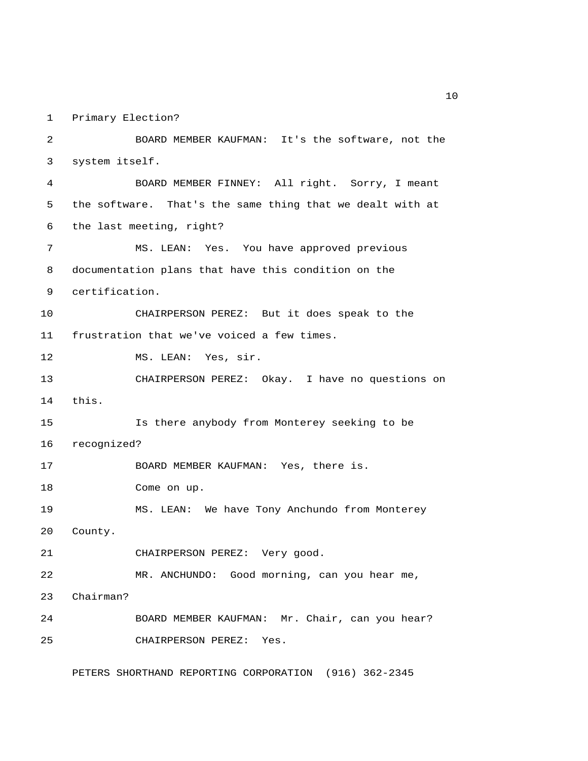1 Primary Election?

 2 BOARD MEMBER KAUFMAN: It's the software, not the 3 system itself. 4 BOARD MEMBER FINNEY: All right. Sorry, I meant 5 the software. That's the same thing that we dealt with at 6 the last meeting, right? 7 MS. LEAN: Yes. You have approved previous 8 documentation plans that have this condition on the 9 certification. 10 CHAIRPERSON PEREZ: But it does speak to the 11 frustration that we've voiced a few times. 12 MS. LEAN: Yes, sir. 13 CHAIRPERSON PEREZ: Okay. I have no questions on 14 this. 15 Is there anybody from Monterey seeking to be 16 recognized? 17 BOARD MEMBER KAUFMAN: Yes, there is. 18 Come on up. 19 MS. LEAN: We have Tony Anchundo from Monterey 20 County. 21 CHAIRPERSON PEREZ: Very good. 22 MR. ANCHUNDO: Good morning, can you hear me, 23 Chairman? 24 BOARD MEMBER KAUFMAN: Mr. Chair, can you hear? 25 CHAIRPERSON PEREZ: Yes.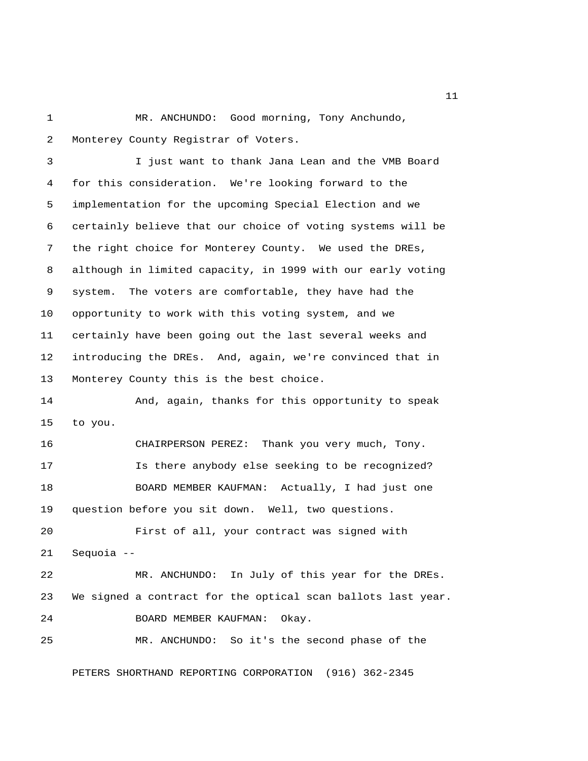1 MR. ANCHUNDO: Good morning, Tony Anchundo, 2 Monterey County Registrar of Voters.

 3 I just want to thank Jana Lean and the VMB Board 4 for this consideration. We're looking forward to the 5 implementation for the upcoming Special Election and we 6 certainly believe that our choice of voting systems will be 7 the right choice for Monterey County. We used the DREs, 8 although in limited capacity, in 1999 with our early voting 9 system. The voters are comfortable, they have had the 10 opportunity to work with this voting system, and we 11 certainly have been going out the last several weeks and 12 introducing the DREs. And, again, we're convinced that in 13 Monterey County this is the best choice.

14 And, again, thanks for this opportunity to speak 15 to you.

16 CHAIRPERSON PEREZ: Thank you very much, Tony. 17 Is there anybody else seeking to be recognized? 18 BOARD MEMBER KAUFMAN: Actually, I had just one 19 question before you sit down. Well, two questions.

20 First of all, your contract was signed with 21 Sequoia --

22 MR. ANCHUNDO: In July of this year for the DREs. 23 We signed a contract for the optical scan ballots last year. 24 BOARD MEMBER KAUFMAN: Okay. 25 MR. ANCHUNDO: So it's the second phase of the

PETERS SHORTHAND REPORTING CORPORATION (916) 362-2345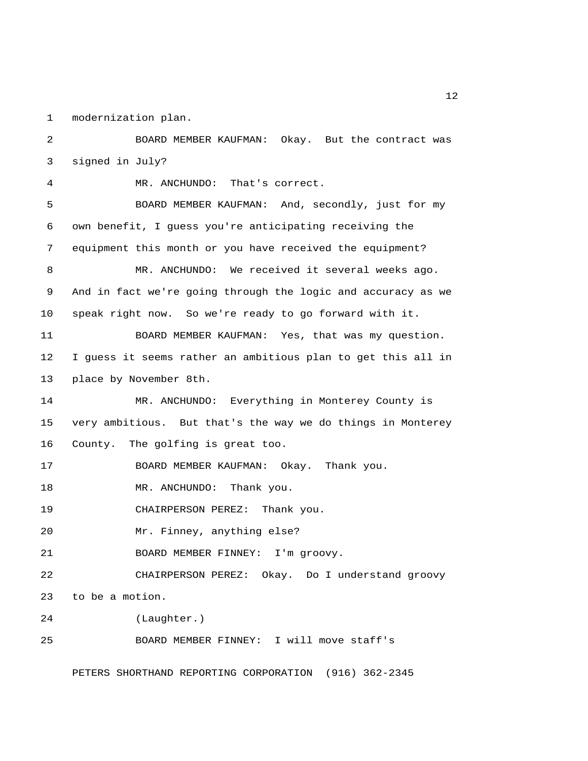1 modernization plan.

 2 BOARD MEMBER KAUFMAN: Okay. But the contract was 3 signed in July? 4 MR. ANCHUNDO: That's correct. 5 BOARD MEMBER KAUFMAN: And, secondly, just for my 6 own benefit, I guess you're anticipating receiving the 7 equipment this month or you have received the equipment? 8 MR. ANCHUNDO: We received it several weeks ago. 9 And in fact we're going through the logic and accuracy as we 10 speak right now. So we're ready to go forward with it. 11 BOARD MEMBER KAUFMAN: Yes, that was my question. 12 I guess it seems rather an ambitious plan to get this all in 13 place by November 8th. 14 MR. ANCHUNDO: Everything in Monterey County is 15 very ambitious. But that's the way we do things in Monterey 16 County. The golfing is great too. 17 BOARD MEMBER KAUFMAN: Okay. Thank you. 18 MR. ANCHUNDO: Thank you. 19 CHAIRPERSON PEREZ: Thank you. 20 Mr. Finney, anything else? 21 BOARD MEMBER FINNEY: I'm groovy. 22 CHAIRPERSON PEREZ: Okay. Do I understand groovy 23 to be a motion. 24 (Laughter.) 25 BOARD MEMBER FINNEY: I will move staff's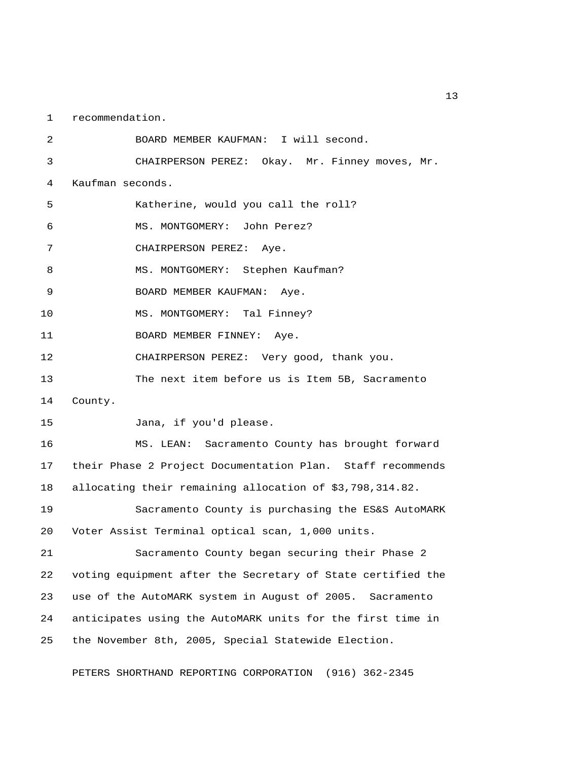1 recommendation.

 2 BOARD MEMBER KAUFMAN: I will second. 3 CHAIRPERSON PEREZ: Okay. Mr. Finney moves, Mr. 4 Kaufman seconds. 5 Katherine, would you call the roll? 6 MS. MONTGOMERY: John Perez? 7 CHAIRPERSON PEREZ: Aye. 8 MS. MONTGOMERY: Stephen Kaufman? 9 BOARD MEMBER KAUFMAN: Aye. 10 MS. MONTGOMERY: Tal Finney? 11 BOARD MEMBER FINNEY: Aye. 12 CHAIRPERSON PEREZ: Very good, thank you. 13 The next item before us is Item 5B, Sacramento 14 County. 15 Jana, if you'd please. 16 MS. LEAN: Sacramento County has brought forward 17 their Phase 2 Project Documentation Plan. Staff recommends 18 allocating their remaining allocation of \$3,798,314.82. 19 Sacramento County is purchasing the ES&S AutoMARK 20 Voter Assist Terminal optical scan, 1,000 units. 21 Sacramento County began securing their Phase 2 22 voting equipment after the Secretary of State certified the 23 use of the AutoMARK system in August of 2005. Sacramento 24 anticipates using the AutoMARK units for the first time in 25 the November 8th, 2005, Special Statewide Election.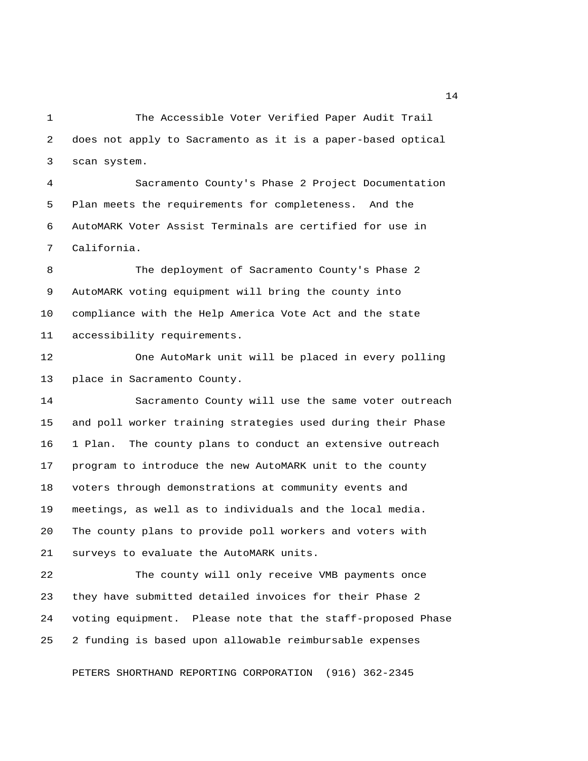1 The Accessible Voter Verified Paper Audit Trail 2 does not apply to Sacramento as it is a paper-based optical 3 scan system.

 4 Sacramento County's Phase 2 Project Documentation 5 Plan meets the requirements for completeness. And the 6 AutoMARK Voter Assist Terminals are certified for use in 7 California.

 8 The deployment of Sacramento County's Phase 2 9 AutoMARK voting equipment will bring the county into 10 compliance with the Help America Vote Act and the state 11 accessibility requirements.

12 One AutoMark unit will be placed in every polling 13 place in Sacramento County.

14 Sacramento County will use the same voter outreach 15 and poll worker training strategies used during their Phase 16 1 Plan. The county plans to conduct an extensive outreach 17 program to introduce the new AutoMARK unit to the county 18 voters through demonstrations at community events and 19 meetings, as well as to individuals and the local media. 20 The county plans to provide poll workers and voters with 21 surveys to evaluate the AutoMARK units.

22 The county will only receive VMB payments once 23 they have submitted detailed invoices for their Phase 2 24 voting equipment. Please note that the staff-proposed Phase 25 2 funding is based upon allowable reimbursable expenses

PETERS SHORTHAND REPORTING CORPORATION (916) 362-2345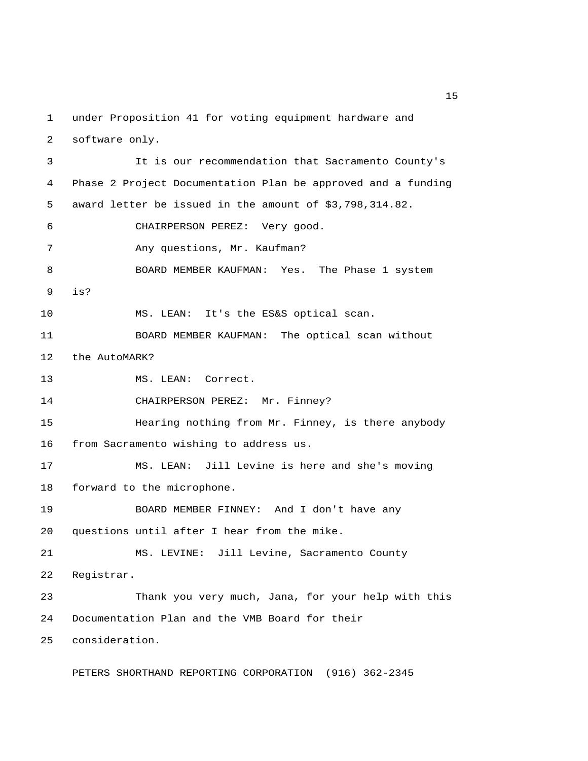1 under Proposition 41 for voting equipment hardware and 2 software only.

 3 It is our recommendation that Sacramento County's 4 Phase 2 Project Documentation Plan be approved and a funding 5 award letter be issued in the amount of \$3,798,314.82. 6 CHAIRPERSON PEREZ: Very good. 7 Any questions, Mr. Kaufman? 8 BOARD MEMBER KAUFMAN: Yes. The Phase 1 system 9 is? 10 MS. LEAN: It's the ES&S optical scan. 11 BOARD MEMBER KAUFMAN: The optical scan without 12 the AutoMARK? 13 MS. LEAN: Correct. 14 CHAIRPERSON PEREZ: Mr. Finney? 15 Hearing nothing from Mr. Finney, is there anybody 16 from Sacramento wishing to address us. 17 MS. LEAN: Jill Levine is here and she's moving 18 forward to the microphone. 19 BOARD MEMBER FINNEY: And I don't have any 20 questions until after I hear from the mike. 21 MS. LEVINE: Jill Levine, Sacramento County 22 Registrar. 23 Thank you very much, Jana, for your help with this 24 Documentation Plan and the VMB Board for their 25 consideration.

PETERS SHORTHAND REPORTING CORPORATION (916) 362-2345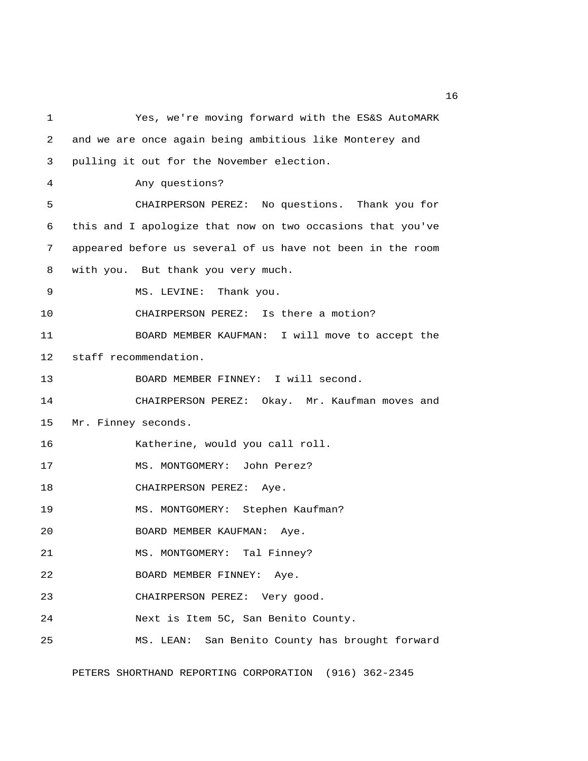1 Yes, we're moving forward with the ES&S AutoMARK 2 and we are once again being ambitious like Monterey and 3 pulling it out for the November election. 4 Any questions? 5 CHAIRPERSON PEREZ: No questions. Thank you for 6 this and I apologize that now on two occasions that you've 7 appeared before us several of us have not been in the room 8 with you. But thank you very much. 9 MS. LEVINE: Thank you. 10 CHAIRPERSON PEREZ: Is there a motion? 11 BOARD MEMBER KAUFMAN: I will move to accept the 12 staff recommendation. 13 BOARD MEMBER FINNEY: I will second. 14 CHAIRPERSON PEREZ: Okay. Mr. Kaufman moves and 15 Mr. Finney seconds. 16 Katherine, would you call roll. 17 MS. MONTGOMERY: John Perez? 18 CHAIRPERSON PEREZ: Aye. 19 MS. MONTGOMERY: Stephen Kaufman? 20 BOARD MEMBER KAUFMAN: Aye. 21 MS. MONTGOMERY: Tal Finney? 22 BOARD MEMBER FINNEY: Aye. 23 CHAIRPERSON PEREZ: Very good. 24 Next is Item 5C, San Benito County. 25 MS. LEAN: San Benito County has brought forward

PETERS SHORTHAND REPORTING CORPORATION (916) 362-2345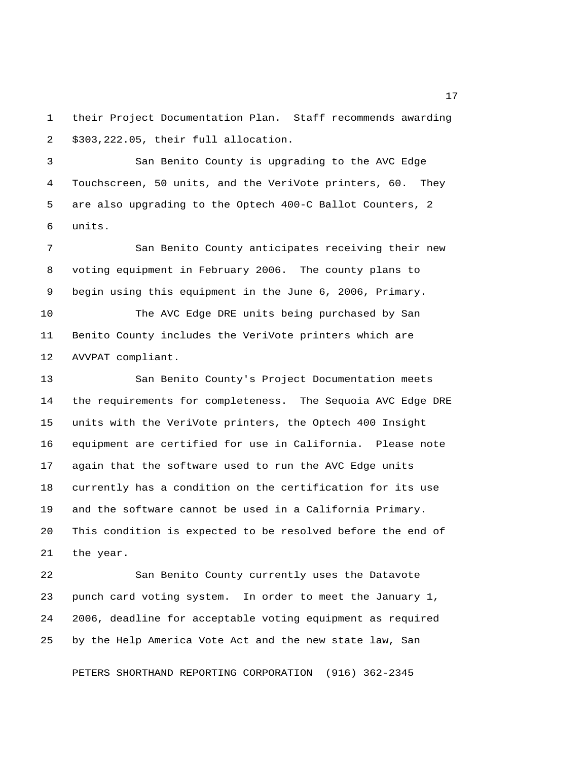1 their Project Documentation Plan. Staff recommends awarding 2 \$303,222.05, their full allocation.

 3 San Benito County is upgrading to the AVC Edge 4 Touchscreen, 50 units, and the VeriVote printers, 60. They 5 are also upgrading to the Optech 400-C Ballot Counters, 2 6 units.

 7 San Benito County anticipates receiving their new 8 voting equipment in February 2006. The county plans to 9 begin using this equipment in the June 6, 2006, Primary.

10 The AVC Edge DRE units being purchased by San 11 Benito County includes the VeriVote printers which are 12 AVVPAT compliant.

13 San Benito County's Project Documentation meets 14 the requirements for completeness. The Sequoia AVC Edge DRE 15 units with the VeriVote printers, the Optech 400 Insight 16 equipment are certified for use in California. Please note 17 again that the software used to run the AVC Edge units 18 currently has a condition on the certification for its use 19 and the software cannot be used in a California Primary. 20 This condition is expected to be resolved before the end of 21 the year.

22 San Benito County currently uses the Datavote 23 punch card voting system. In order to meet the January 1, 24 2006, deadline for acceptable voting equipment as required 25 by the Help America Vote Act and the new state law, San

PETERS SHORTHAND REPORTING CORPORATION (916) 362-2345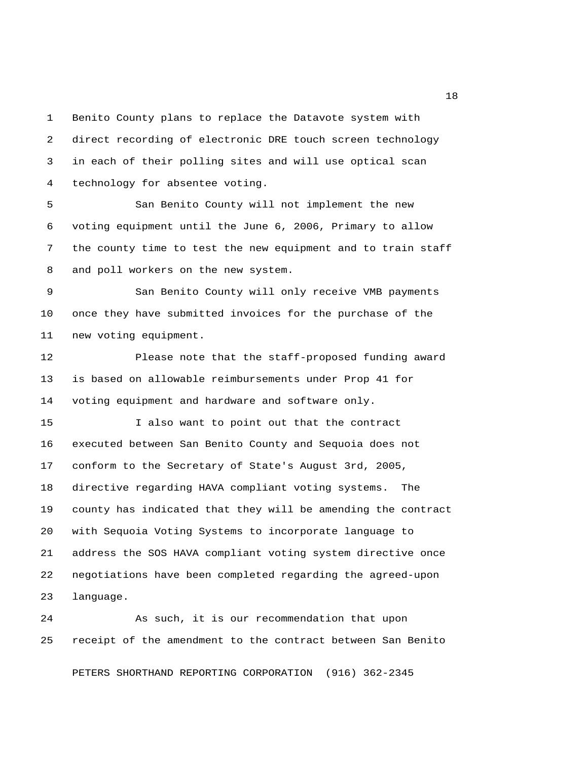1 Benito County plans to replace the Datavote system with 2 direct recording of electronic DRE touch screen technology 3 in each of their polling sites and will use optical scan 4 technology for absentee voting.

 5 San Benito County will not implement the new 6 voting equipment until the June 6, 2006, Primary to allow 7 the county time to test the new equipment and to train staff 8 and poll workers on the new system.

 9 San Benito County will only receive VMB payments 10 once they have submitted invoices for the purchase of the 11 new voting equipment.

12 Please note that the staff-proposed funding award 13 is based on allowable reimbursements under Prop 41 for 14 voting equipment and hardware and software only.

15 I also want to point out that the contract 16 executed between San Benito County and Sequoia does not 17 conform to the Secretary of State's August 3rd, 2005, 18 directive regarding HAVA compliant voting systems. The 19 county has indicated that they will be amending the contract 20 with Sequoia Voting Systems to incorporate language to 21 address the SOS HAVA compliant voting system directive once 22 negotiations have been completed regarding the agreed-upon 23 language.

24 As such, it is our recommendation that upon 25 receipt of the amendment to the contract between San Benito

PETERS SHORTHAND REPORTING CORPORATION (916) 362-2345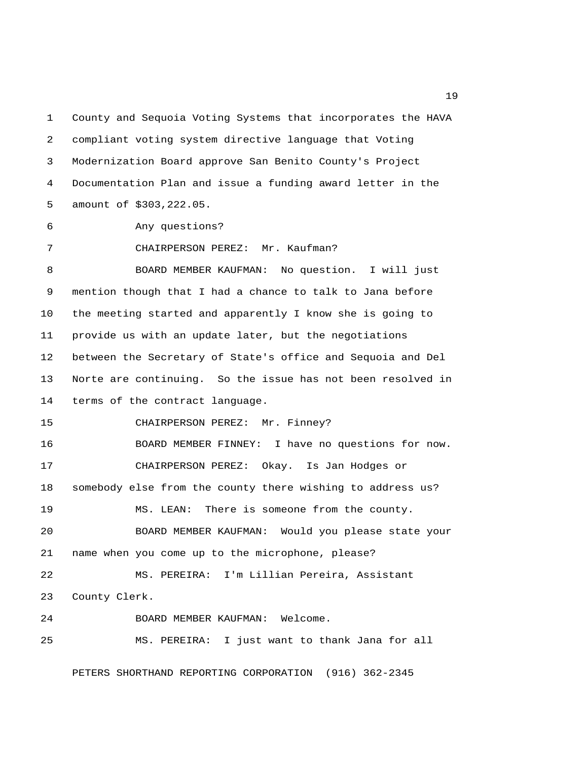1 County and Sequoia Voting Systems that incorporates the HAVA 2 compliant voting system directive language that Voting 3 Modernization Board approve San Benito County's Project 4 Documentation Plan and issue a funding award letter in the 5 amount of \$303,222.05.

6 Any questions?

7 CHAIRPERSON PEREZ: Mr. Kaufman?

 8 BOARD MEMBER KAUFMAN: No question. I will just 9 mention though that I had a chance to talk to Jana before 10 the meeting started and apparently I know she is going to 11 provide us with an update later, but the negotiations 12 between the Secretary of State's office and Sequoia and Del 13 Norte are continuing. So the issue has not been resolved in 14 terms of the contract language.

15 CHAIRPERSON PEREZ: Mr. Finney?

16 BOARD MEMBER FINNEY: I have no questions for now. 17 CHAIRPERSON PEREZ: Okay. Is Jan Hodges or 18 somebody else from the county there wishing to address us? 19 MS. LEAN: There is someone from the county. 20 BOARD MEMBER KAUFMAN: Would you please state your 21 name when you come up to the microphone, please? 22 MS. PEREIRA: I'm Lillian Pereira, Assistant

23 County Clerk.

24 BOARD MEMBER KAUFMAN: Welcome. 25 MS. PEREIRA: I just want to thank Jana for all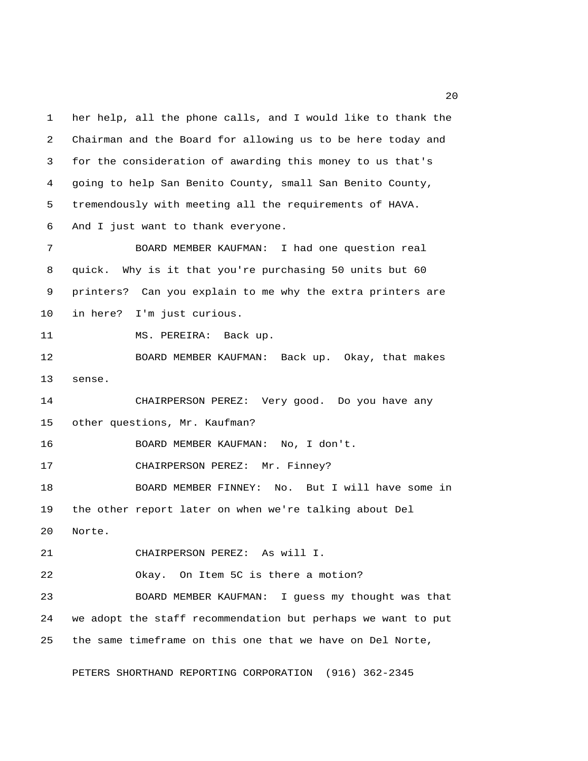1 her help, all the phone calls, and I would like to thank the 2 Chairman and the Board for allowing us to be here today and 3 for the consideration of awarding this money to us that's 4 going to help San Benito County, small San Benito County, 5 tremendously with meeting all the requirements of HAVA. 6 And I just want to thank everyone. 7 BOARD MEMBER KAUFMAN: I had one question real 8 quick. Why is it that you're purchasing 50 units but 60 9 printers? Can you explain to me why the extra printers are 10 in here? I'm just curious. 11 MS. PEREIRA: Back up. 12 BOARD MEMBER KAUFMAN: Back up. Okay, that makes 13 sense. 14 CHAIRPERSON PEREZ: Very good. Do you have any 15 other questions, Mr. Kaufman? 16 BOARD MEMBER KAUFMAN: No, I don't. 17 CHAIRPERSON PEREZ: Mr. Finney? 18 BOARD MEMBER FINNEY: No. But I will have some in 19 the other report later on when we're talking about Del 20 Norte. 21 CHAIRPERSON PEREZ: As will I. 22 Okay. On Item 5C is there a motion? 23 BOARD MEMBER KAUFMAN: I guess my thought was that 24 we adopt the staff recommendation but perhaps we want to put 25 the same timeframe on this one that we have on Del Norte,

PETERS SHORTHAND REPORTING CORPORATION (916) 362-2345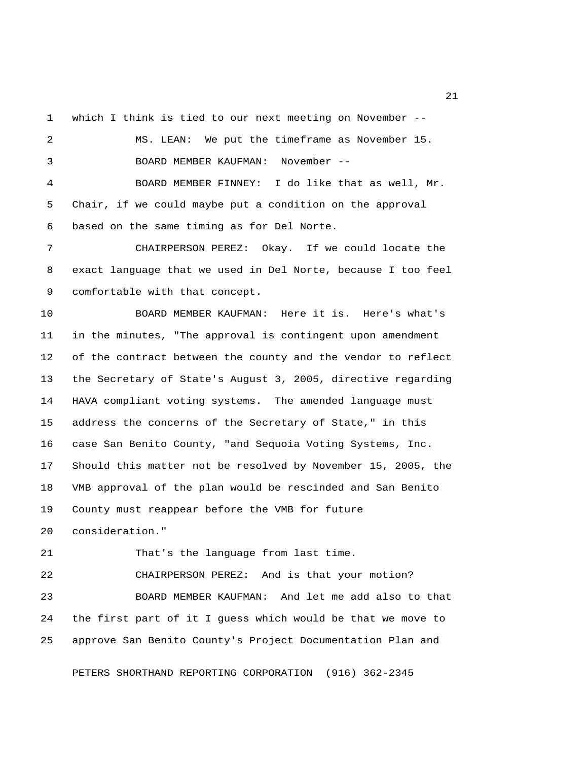1 which I think is tied to our next meeting on November --

 2 MS. LEAN: We put the timeframe as November 15. 3 BOARD MEMBER KAUFMAN: November -- 4 BOARD MEMBER FINNEY: I do like that as well, Mr. 5 Chair, if we could maybe put a condition on the approval 6 based on the same timing as for Del Norte. 7 CHAIRPERSON PEREZ: Okay. If we could locate the 8 exact language that we used in Del Norte, because I too feel 9 comfortable with that concept. 10 BOARD MEMBER KAUFMAN: Here it is. Here's what's 11 in the minutes, "The approval is contingent upon amendment 12 of the contract between the county and the vendor to reflect 13 the Secretary of State's August 3, 2005, directive regarding 14 HAVA compliant voting systems. The amended language must 15 address the concerns of the Secretary of State," in this 16 case San Benito County, "and Sequoia Voting Systems, Inc. 17 Should this matter not be resolved by November 15, 2005, the 18 VMB approval of the plan would be rescinded and San Benito 19 County must reappear before the VMB for future 20 consideration." 21 That's the language from last time. 22 CHAIRPERSON PEREZ: And is that your motion? 23 BOARD MEMBER KAUFMAN: And let me add also to that

25 approve San Benito County's Project Documentation Plan and

24 the first part of it I guess which would be that we move to

PETERS SHORTHAND REPORTING CORPORATION (916) 362-2345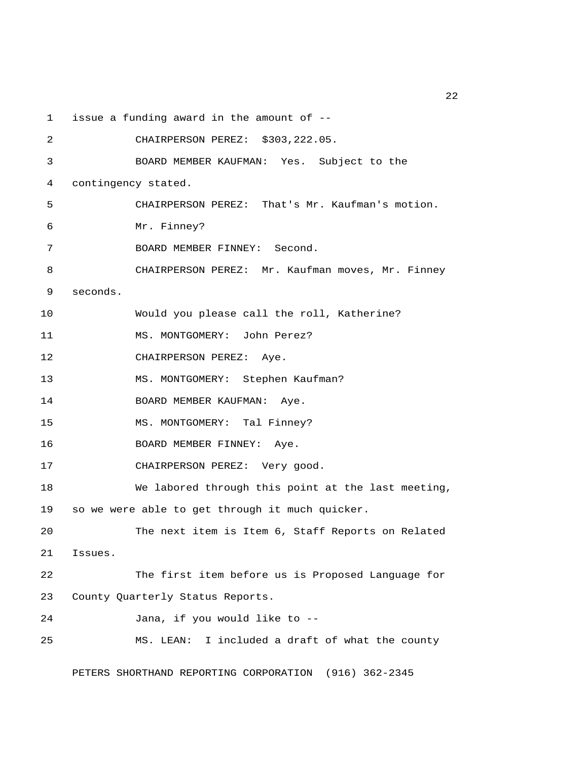1 issue a funding award in the amount of --

| 2  | CHAIRPERSON PEREZ: \$303,222.05.                   |
|----|----------------------------------------------------|
| 3  | BOARD MEMBER KAUFMAN: Yes. Subject to the          |
| 4  | contingency stated.                                |
| 5  | CHAIRPERSON PEREZ: That's Mr. Kaufman's motion.    |
| 6  | Mr. Finney?                                        |
| 7  | BOARD MEMBER FINNEY: Second.                       |
| 8  | CHAIRPERSON PEREZ: Mr. Kaufman moves, Mr. Finney   |
| 9  | seconds.                                           |
| 10 | Would you please call the roll, Katherine?         |
| 11 | MS. MONTGOMERY: John Perez?                        |
| 12 | CHAIRPERSON PEREZ: Aye.                            |
| 13 | MS. MONTGOMERY: Stephen Kaufman?                   |
| 14 | BOARD MEMBER KAUFMAN: Aye.                         |
| 15 | MS. MONTGOMERY: Tal Finney?                        |
| 16 | BOARD MEMBER FINNEY: Aye.                          |
| 17 | CHAIRPERSON PEREZ: Very good.                      |
| 18 | We labored through this point at the last meeting, |
| 19 | so we were able to get through it much quicker.    |
| 20 | The next item is Item 6, Staff Reports on Related  |
| 21 | Issues.                                            |
| 22 | The first item before us is Proposed Language for  |
| 23 | County Quarterly Status Reports.                   |
| 24 | Jana, if you would like to --                      |
| 25 | I included a draft of what the county<br>MS. LEAN: |
|    |                                                    |

PETERS SHORTHAND REPORTING CORPORATION (916) 362-2345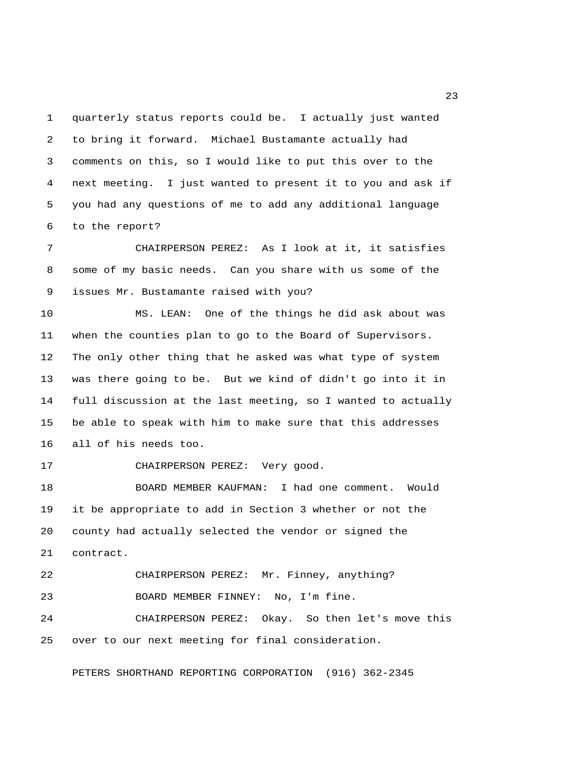1 quarterly status reports could be. I actually just wanted 2 to bring it forward. Michael Bustamante actually had 3 comments on this, so I would like to put this over to the 4 next meeting. I just wanted to present it to you and ask if 5 you had any questions of me to add any additional language 6 to the report?

 7 CHAIRPERSON PEREZ: As I look at it, it satisfies 8 some of my basic needs. Can you share with us some of the 9 issues Mr. Bustamante raised with you?

10 MS. LEAN: One of the things he did ask about was 11 when the counties plan to go to the Board of Supervisors. 12 The only other thing that he asked was what type of system 13 was there going to be. But we kind of didn't go into it in 14 full discussion at the last meeting, so I wanted to actually 15 be able to speak with him to make sure that this addresses 16 all of his needs too.

17 CHAIRPERSON PEREZ: Very good.

18 BOARD MEMBER KAUFMAN: I had one comment. Would 19 it be appropriate to add in Section 3 whether or not the 20 county had actually selected the vendor or signed the 21 contract.

22 CHAIRPERSON PEREZ: Mr. Finney, anything? 23 BOARD MEMBER FINNEY: No, I'm fine. 24 CHAIRPERSON PEREZ: Okay. So then let's move this

25 over to our next meeting for final consideration.

PETERS SHORTHAND REPORTING CORPORATION (916) 362-2345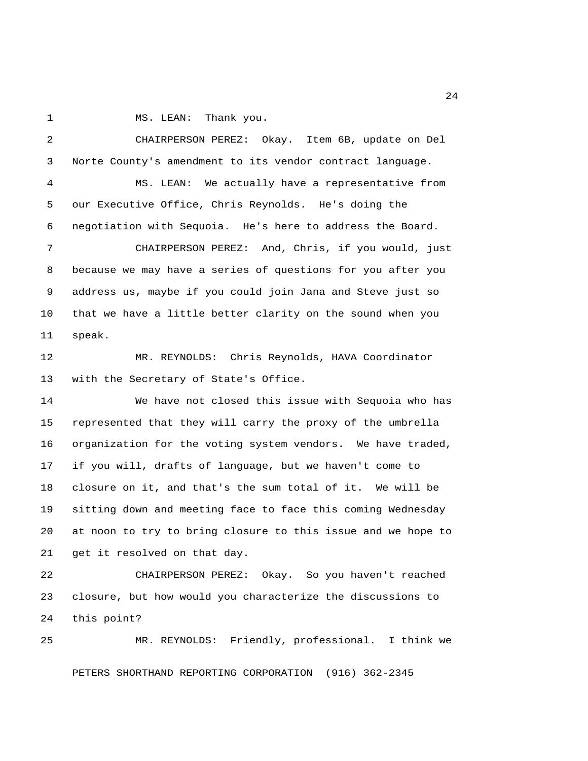1 MS. LEAN: Thank you.

 2 CHAIRPERSON PEREZ: Okay. Item 6B, update on Del 3 Norte County's amendment to its vendor contract language. 4 MS. LEAN: We actually have a representative from 5 our Executive Office, Chris Reynolds. He's doing the 6 negotiation with Sequoia. He's here to address the Board. 7 CHAIRPERSON PEREZ: And, Chris, if you would, just 8 because we may have a series of questions for you after you 9 address us, maybe if you could join Jana and Steve just so 10 that we have a little better clarity on the sound when you 11 speak. 12 MR. REYNOLDS: Chris Reynolds, HAVA Coordinator 13 with the Secretary of State's Office. 14 We have not closed this issue with Sequoia who has 15 represented that they will carry the proxy of the umbrella 16 organization for the voting system vendors. We have traded, 17 if you will, drafts of language, but we haven't come to 18 closure on it, and that's the sum total of it. We will be 19 sitting down and meeting face to face this coming Wednesday 20 at noon to try to bring closure to this issue and we hope to 21 get it resolved on that day. 22 CHAIRPERSON PEREZ: Okay. So you haven't reached 23 closure, but how would you characterize the discussions to 24 this point?

25 MR. REYNOLDS: Friendly, professional. I think we PETERS SHORTHAND REPORTING CORPORATION (916) 362-2345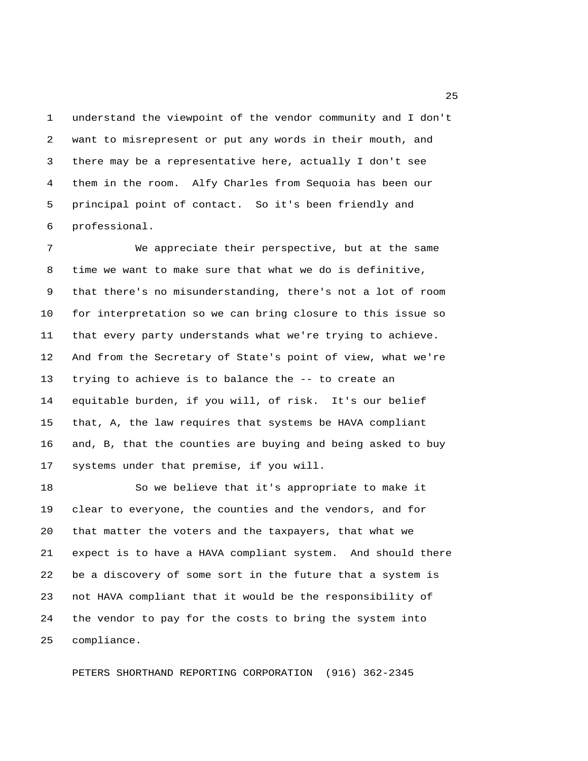1 understand the viewpoint of the vendor community and I don't 2 want to misrepresent or put any words in their mouth, and 3 there may be a representative here, actually I don't see 4 them in the room. Alfy Charles from Sequoia has been our 5 principal point of contact. So it's been friendly and 6 professional.

 7 We appreciate their perspective, but at the same 8 time we want to make sure that what we do is definitive, 9 that there's no misunderstanding, there's not a lot of room 10 for interpretation so we can bring closure to this issue so 11 that every party understands what we're trying to achieve. 12 And from the Secretary of State's point of view, what we're 13 trying to achieve is to balance the -- to create an 14 equitable burden, if you will, of risk. It's our belief 15 that, A, the law requires that systems be HAVA compliant 16 and, B, that the counties are buying and being asked to buy 17 systems under that premise, if you will.

18 So we believe that it's appropriate to make it 19 clear to everyone, the counties and the vendors, and for 20 that matter the voters and the taxpayers, that what we 21 expect is to have a HAVA compliant system. And should there 22 be a discovery of some sort in the future that a system is 23 not HAVA compliant that it would be the responsibility of 24 the vendor to pay for the costs to bring the system into 25 compliance.

PETERS SHORTHAND REPORTING CORPORATION (916) 362-2345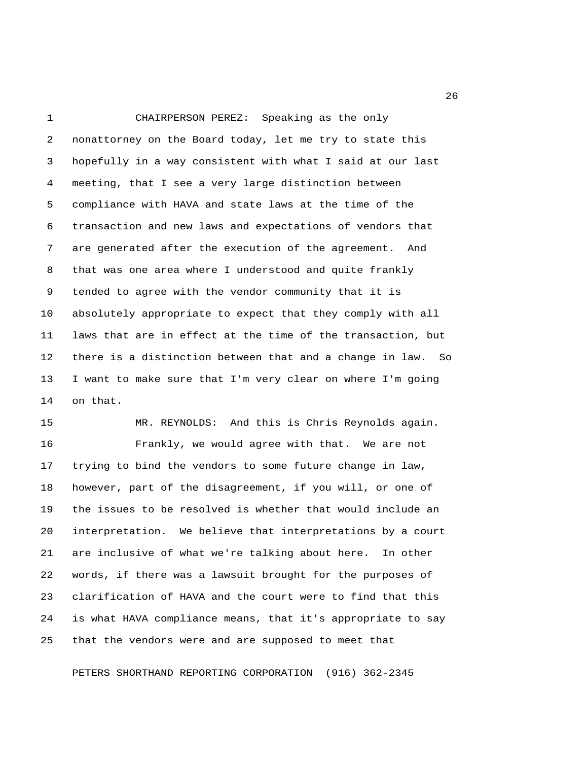1 CHAIRPERSON PEREZ: Speaking as the only 2 nonattorney on the Board today, let me try to state this 3 hopefully in a way consistent with what I said at our last 4 meeting, that I see a very large distinction between 5 compliance with HAVA and state laws at the time of the 6 transaction and new laws and expectations of vendors that 7 are generated after the execution of the agreement. And 8 that was one area where I understood and quite frankly 9 tended to agree with the vendor community that it is 10 absolutely appropriate to expect that they comply with all 11 laws that are in effect at the time of the transaction, but 12 there is a distinction between that and a change in law. So 13 I want to make sure that I'm very clear on where I'm going 14 on that.

15 MR. REYNOLDS: And this is Chris Reynolds again. 16 Frankly, we would agree with that. We are not 17 trying to bind the vendors to some future change in law, 18 however, part of the disagreement, if you will, or one of 19 the issues to be resolved is whether that would include an 20 interpretation. We believe that interpretations by a court 21 are inclusive of what we're talking about here. In other 22 words, if there was a lawsuit brought for the purposes of 23 clarification of HAVA and the court were to find that this 24 is what HAVA compliance means, that it's appropriate to say 25 that the vendors were and are supposed to meet that

PETERS SHORTHAND REPORTING CORPORATION (916) 362-2345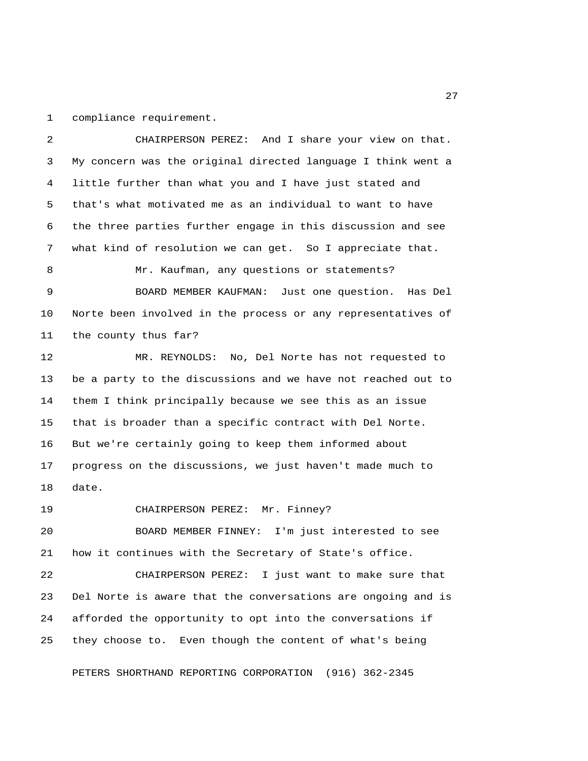1 compliance requirement.

 2 CHAIRPERSON PEREZ: And I share your view on that. 3 My concern was the original directed language I think went a 4 little further than what you and I have just stated and 5 that's what motivated me as an individual to want to have 6 the three parties further engage in this discussion and see 7 what kind of resolution we can get. So I appreciate that. 8 Mr. Kaufman, any questions or statements? 9 BOARD MEMBER KAUFMAN: Just one question. Has Del 10 Norte been involved in the process or any representatives of 11 the county thus far? 12 MR. REYNOLDS: No, Del Norte has not requested to 13 be a party to the discussions and we have not reached out to 14 them I think principally because we see this as an issue 15 that is broader than a specific contract with Del Norte. 16 But we're certainly going to keep them informed about 17 progress on the discussions, we just haven't made much to 18 date. 19 CHAIRPERSON PEREZ: Mr. Finney? 20 BOARD MEMBER FINNEY: I'm just interested to see 21 how it continues with the Secretary of State's office. 22 CHAIRPERSON PEREZ: I just want to make sure that 23 Del Norte is aware that the conversations are ongoing and is 24 afforded the opportunity to opt into the conversations if 25 they choose to. Even though the content of what's being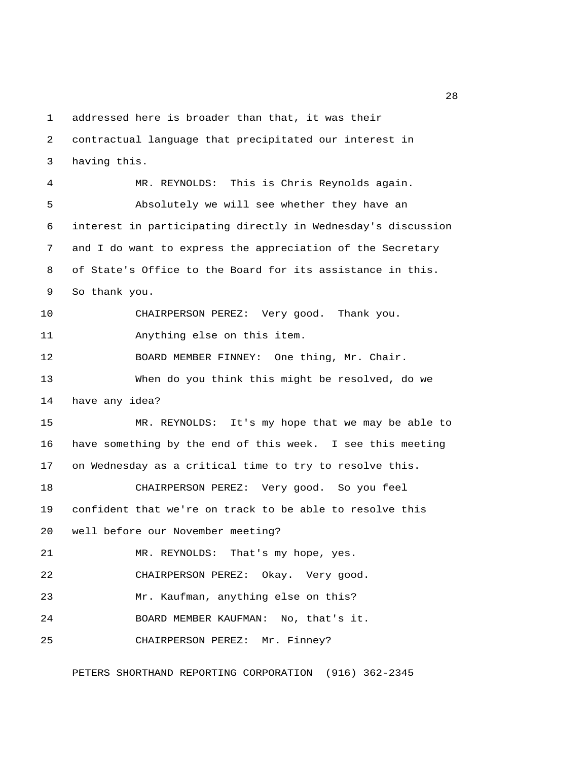1 addressed here is broader than that, it was their 2 contractual language that precipitated our interest in 3 having this.

 4 MR. REYNOLDS: This is Chris Reynolds again. 5 Absolutely we will see whether they have an 6 interest in participating directly in Wednesday's discussion 7 and I do want to express the appreciation of the Secretary 8 of State's Office to the Board for its assistance in this. 9 So thank you. 10 CHAIRPERSON PEREZ: Very good. Thank you. 11 Anything else on this item. 12 BOARD MEMBER FINNEY: One thing, Mr. Chair. 13 When do you think this might be resolved, do we 14 have any idea? 15 MR. REYNOLDS: It's my hope that we may be able to 16 have something by the end of this week. I see this meeting 17 on Wednesday as a critical time to try to resolve this. 18 CHAIRPERSON PEREZ: Very good. So you feel 19 confident that we're on track to be able to resolve this 20 well before our November meeting? 21 MR. REYNOLDS: That's my hope, yes. 22 CHAIRPERSON PEREZ: Okay. Very good. 23 Mr. Kaufman, anything else on this? 24 BOARD MEMBER KAUFMAN: No, that's it. 25 CHAIRPERSON PEREZ: Mr. Finney?

PETERS SHORTHAND REPORTING CORPORATION (916) 362-2345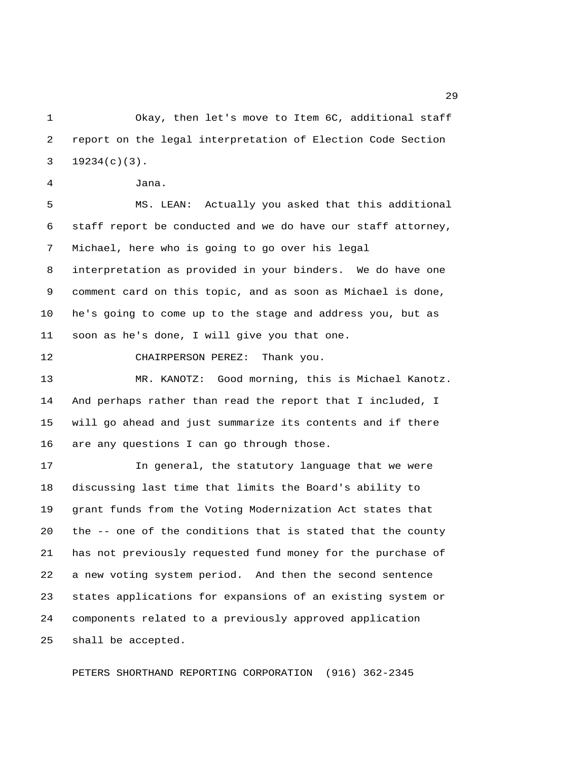1 Okay, then let's move to Item 6C, additional staff 2 report on the legal interpretation of Election Code Section 3 19234(c)(3).

4 Jana.

 5 MS. LEAN: Actually you asked that this additional 6 staff report be conducted and we do have our staff attorney, 7 Michael, here who is going to go over his legal 8 interpretation as provided in your binders. We do have one 9 comment card on this topic, and as soon as Michael is done, 10 he's going to come up to the stage and address you, but as 11 soon as he's done, I will give you that one.

12 CHAIRPERSON PEREZ: Thank you.

13 MR. KANOTZ: Good morning, this is Michael Kanotz. 14 And perhaps rather than read the report that I included, I 15 will go ahead and just summarize its contents and if there 16 are any questions I can go through those.

17 In general, the statutory language that we were 18 discussing last time that limits the Board's ability to 19 grant funds from the Voting Modernization Act states that 20 the -- one of the conditions that is stated that the county 21 has not previously requested fund money for the purchase of 22 a new voting system period. And then the second sentence 23 states applications for expansions of an existing system or 24 components related to a previously approved application 25 shall be accepted.

PETERS SHORTHAND REPORTING CORPORATION (916) 362-2345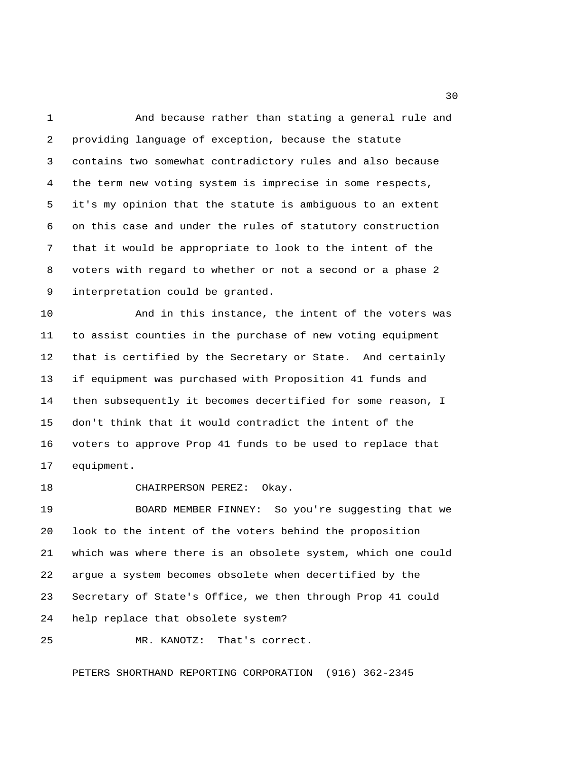1 And because rather than stating a general rule and 2 providing language of exception, because the statute 3 contains two somewhat contradictory rules and also because 4 the term new voting system is imprecise in some respects, 5 it's my opinion that the statute is ambiguous to an extent 6 on this case and under the rules of statutory construction 7 that it would be appropriate to look to the intent of the 8 voters with regard to whether or not a second or a phase 2 9 interpretation could be granted.

10 And in this instance, the intent of the voters was 11 to assist counties in the purchase of new voting equipment 12 that is certified by the Secretary or State. And certainly 13 if equipment was purchased with Proposition 41 funds and 14 then subsequently it becomes decertified for some reason, I 15 don't think that it would contradict the intent of the 16 voters to approve Prop 41 funds to be used to replace that 17 equipment.

18 CHAIRPERSON PEREZ: Okay.

19 BOARD MEMBER FINNEY: So you're suggesting that we 20 look to the intent of the voters behind the proposition 21 which was where there is an obsolete system, which one could 22 argue a system becomes obsolete when decertified by the 23 Secretary of State's Office, we then through Prop 41 could 24 help replace that obsolete system?

25 MR. KANOTZ: That's correct.

PETERS SHORTHAND REPORTING CORPORATION (916) 362-2345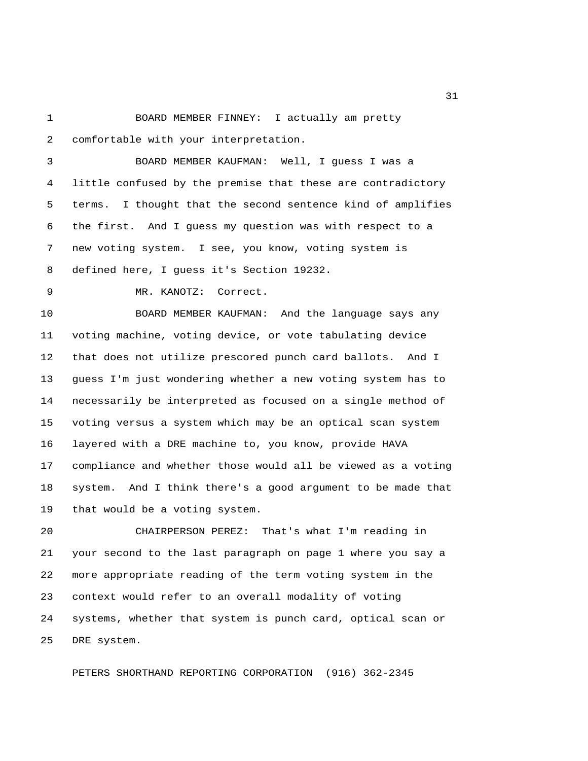1 BOARD MEMBER FINNEY: I actually am pretty 2 comfortable with your interpretation.

 3 BOARD MEMBER KAUFMAN: Well, I guess I was a 4 little confused by the premise that these are contradictory 5 terms. I thought that the second sentence kind of amplifies 6 the first. And I guess my question was with respect to a 7 new voting system. I see, you know, voting system is 8 defined here, I guess it's Section 19232.

9 MR. KANOTZ: Correct.

10 BOARD MEMBER KAUFMAN: And the language says any 11 voting machine, voting device, or vote tabulating device 12 that does not utilize prescored punch card ballots. And I 13 guess I'm just wondering whether a new voting system has to 14 necessarily be interpreted as focused on a single method of 15 voting versus a system which may be an optical scan system 16 layered with a DRE machine to, you know, provide HAVA 17 compliance and whether those would all be viewed as a voting 18 system. And I think there's a good argument to be made that 19 that would be a voting system.

20 CHAIRPERSON PEREZ: That's what I'm reading in 21 your second to the last paragraph on page 1 where you say a 22 more appropriate reading of the term voting system in the 23 context would refer to an overall modality of voting 24 systems, whether that system is punch card, optical scan or 25 DRE system.

PETERS SHORTHAND REPORTING CORPORATION (916) 362-2345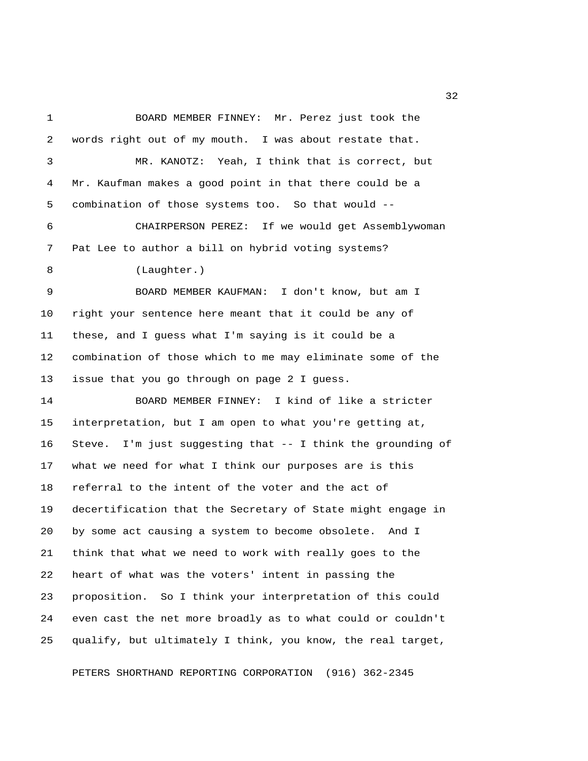1 BOARD MEMBER FINNEY: Mr. Perez just took the 2 words right out of my mouth. I was about restate that. 3 MR. KANOTZ: Yeah, I think that is correct, but 4 Mr. Kaufman makes a good point in that there could be a 5 combination of those systems too. So that would -- 6 CHAIRPERSON PEREZ: If we would get Assemblywoman 7 Pat Lee to author a bill on hybrid voting systems? 8 (Laughter.) 9 BOARD MEMBER KAUFMAN: I don't know, but am I 10 right your sentence here meant that it could be any of 11 these, and I guess what I'm saying is it could be a 12 combination of those which to me may eliminate some of the 13 issue that you go through on page 2 I guess. 14 BOARD MEMBER FINNEY: I kind of like a stricter 15 interpretation, but I am open to what you're getting at, 16 Steve. I'm just suggesting that -- I think the grounding of 17 what we need for what I think our purposes are is this 18 referral to the intent of the voter and the act of 19 decertification that the Secretary of State might engage in 20 by some act causing a system to become obsolete. And I 21 think that what we need to work with really goes to the 22 heart of what was the voters' intent in passing the 23 proposition. So I think your interpretation of this could 24 even cast the net more broadly as to what could or couldn't 25 qualify, but ultimately I think, you know, the real target,

PETERS SHORTHAND REPORTING CORPORATION (916) 362-2345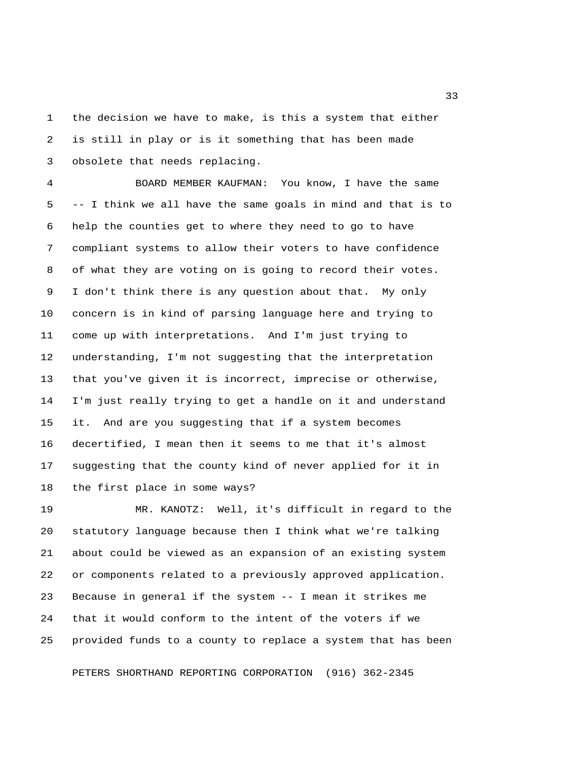1 the decision we have to make, is this a system that either 2 is still in play or is it something that has been made 3 obsolete that needs replacing.

 4 BOARD MEMBER KAUFMAN: You know, I have the same 5 -- I think we all have the same goals in mind and that is to 6 help the counties get to where they need to go to have 7 compliant systems to allow their voters to have confidence 8 of what they are voting on is going to record their votes. 9 I don't think there is any question about that. My only 10 concern is in kind of parsing language here and trying to 11 come up with interpretations. And I'm just trying to 12 understanding, I'm not suggesting that the interpretation 13 that you've given it is incorrect, imprecise or otherwise, 14 I'm just really trying to get a handle on it and understand 15 it. And are you suggesting that if a system becomes 16 decertified, I mean then it seems to me that it's almost 17 suggesting that the county kind of never applied for it in 18 the first place in some ways?

19 MR. KANOTZ: Well, it's difficult in regard to the 20 statutory language because then I think what we're talking 21 about could be viewed as an expansion of an existing system 22 or components related to a previously approved application. 23 Because in general if the system -- I mean it strikes me 24 that it would conform to the intent of the voters if we 25 provided funds to a county to replace a system that has been

PETERS SHORTHAND REPORTING CORPORATION (916) 362-2345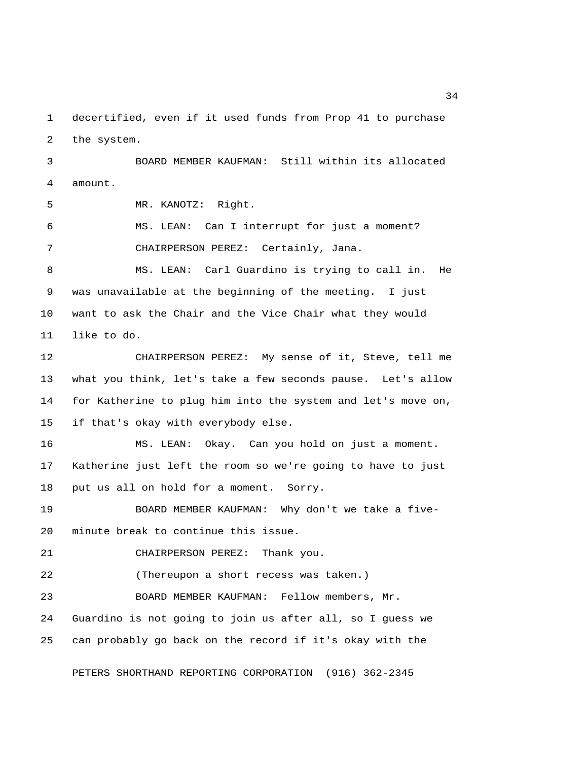1 decertified, even if it used funds from Prop 41 to purchase 2 the system.

 3 BOARD MEMBER KAUFMAN: Still within its allocated 4 amount.

5 MR. KANOTZ: Right.

 6 MS. LEAN: Can I interrupt for just a moment? 7 CHAIRPERSON PEREZ: Certainly, Jana.

 8 MS. LEAN: Carl Guardino is trying to call in. He 9 was unavailable at the beginning of the meeting. I just 10 want to ask the Chair and the Vice Chair what they would 11 like to do.

12 CHAIRPERSON PEREZ: My sense of it, Steve, tell me 13 what you think, let's take a few seconds pause. Let's allow 14 for Katherine to plug him into the system and let's move on, 15 if that's okay with everybody else.

16 MS. LEAN: Okay. Can you hold on just a moment. 17 Katherine just left the room so we're going to have to just 18 put us all on hold for a moment. Sorry.

19 BOARD MEMBER KAUFMAN: Why don't we take a five-20 minute break to continue this issue.

21 CHAIRPERSON PEREZ: Thank you.

22 (Thereupon a short recess was taken.)

23 BOARD MEMBER KAUFMAN: Fellow members, Mr. 24 Guardino is not going to join us after all, so I guess we 25 can probably go back on the record if it's okay with the

PETERS SHORTHAND REPORTING CORPORATION (916) 362-2345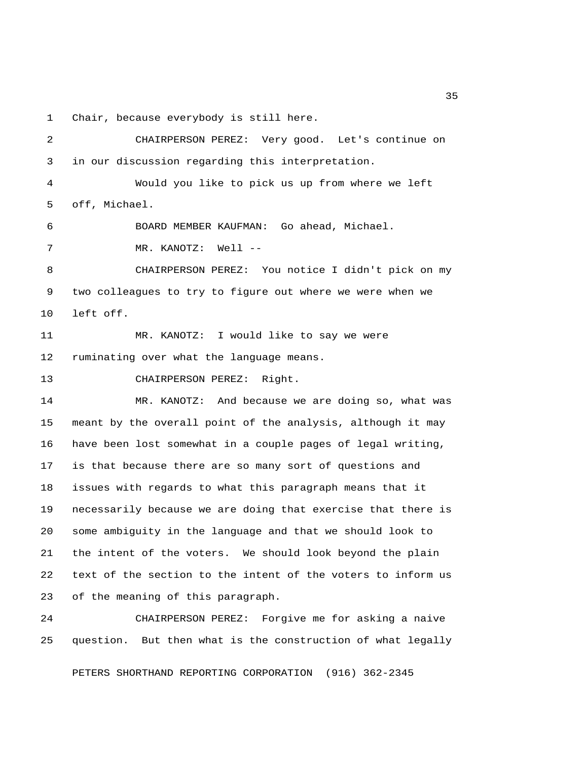1 Chair, because everybody is still here.

 2 CHAIRPERSON PEREZ: Very good. Let's continue on 3 in our discussion regarding this interpretation. 4 Would you like to pick us up from where we left 5 off, Michael. 6 BOARD MEMBER KAUFMAN: Go ahead, Michael. 7 MR. KANOTZ: Well -- 8 CHAIRPERSON PEREZ: You notice I didn't pick on my 9 two colleagues to try to figure out where we were when we 10 left off. 11 MR. KANOTZ: I would like to say we were 12 ruminating over what the language means. 13 CHAIRPERSON PEREZ: Right. 14 MR. KANOTZ: And because we are doing so, what was 15 meant by the overall point of the analysis, although it may 16 have been lost somewhat in a couple pages of legal writing, 17 is that because there are so many sort of questions and 18 issues with regards to what this paragraph means that it 19 necessarily because we are doing that exercise that there is 20 some ambiguity in the language and that we should look to 21 the intent of the voters. We should look beyond the plain 22 text of the section to the intent of the voters to inform us 23 of the meaning of this paragraph. 24 CHAIRPERSON PEREZ: Forgive me for asking a naive

PETERS SHORTHAND REPORTING CORPORATION (916) 362-2345

25 question. But then what is the construction of what legally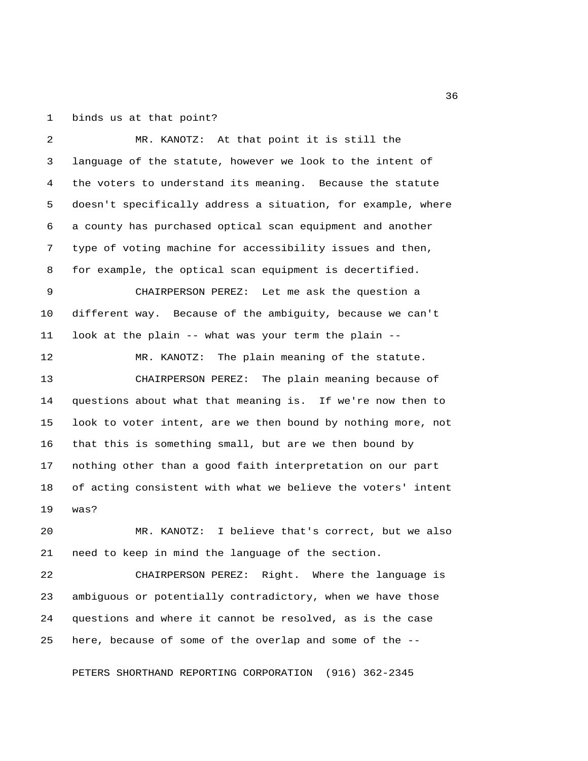1 binds us at that point?

 2 MR. KANOTZ: At that point it is still the 3 language of the statute, however we look to the intent of 4 the voters to understand its meaning. Because the statute 5 doesn't specifically address a situation, for example, where 6 a county has purchased optical scan equipment and another 7 type of voting machine for accessibility issues and then, 8 for example, the optical scan equipment is decertified. 9 CHAIRPERSON PEREZ: Let me ask the question a 10 different way. Because of the ambiguity, because we can't 11 look at the plain -- what was your term the plain -- 12 MR. KANOTZ: The plain meaning of the statute. 13 CHAIRPERSON PEREZ: The plain meaning because of 14 questions about what that meaning is. If we're now then to 15 look to voter intent, are we then bound by nothing more, not 16 that this is something small, but are we then bound by 17 nothing other than a good faith interpretation on our part 18 of acting consistent with what we believe the voters' intent 19 was? 20 MR. KANOTZ: I believe that's correct, but we also 21 need to keep in mind the language of the section.

22 CHAIRPERSON PEREZ: Right. Where the language is 23 ambiguous or potentially contradictory, when we have those 24 questions and where it cannot be resolved, as is the case 25 here, because of some of the overlap and some of the --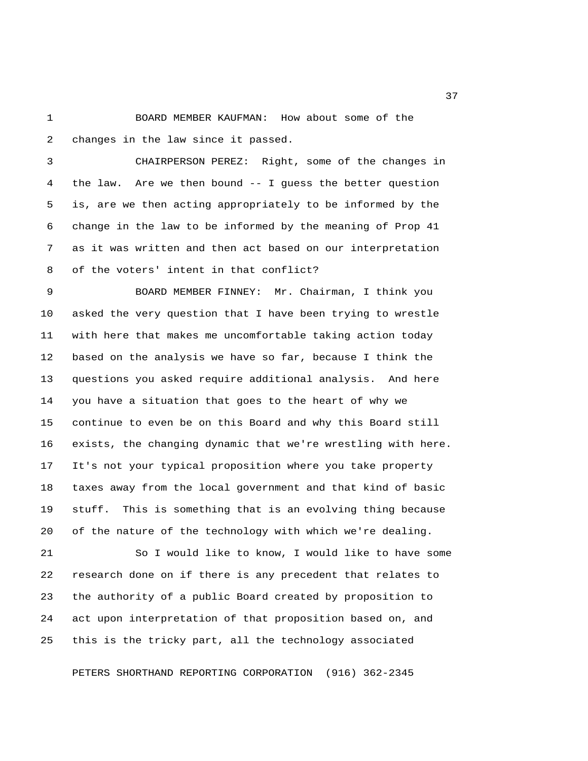1 BOARD MEMBER KAUFMAN: How about some of the 2 changes in the law since it passed.

 3 CHAIRPERSON PEREZ: Right, some of the changes in 4 the law. Are we then bound -- I guess the better question 5 is, are we then acting appropriately to be informed by the 6 change in the law to be informed by the meaning of Prop 41 7 as it was written and then act based on our interpretation 8 of the voters' intent in that conflict?

 9 BOARD MEMBER FINNEY: Mr. Chairman, I think you 10 asked the very question that I have been trying to wrestle 11 with here that makes me uncomfortable taking action today 12 based on the analysis we have so far, because I think the 13 questions you asked require additional analysis. And here 14 you have a situation that goes to the heart of why we 15 continue to even be on this Board and why this Board still 16 exists, the changing dynamic that we're wrestling with here. 17 It's not your typical proposition where you take property 18 taxes away from the local government and that kind of basic 19 stuff. This is something that is an evolving thing because 20 of the nature of the technology with which we're dealing.

21 So I would like to know, I would like to have some 22 research done on if there is any precedent that relates to 23 the authority of a public Board created by proposition to 24 act upon interpretation of that proposition based on, and 25 this is the tricky part, all the technology associated

PETERS SHORTHAND REPORTING CORPORATION (916) 362-2345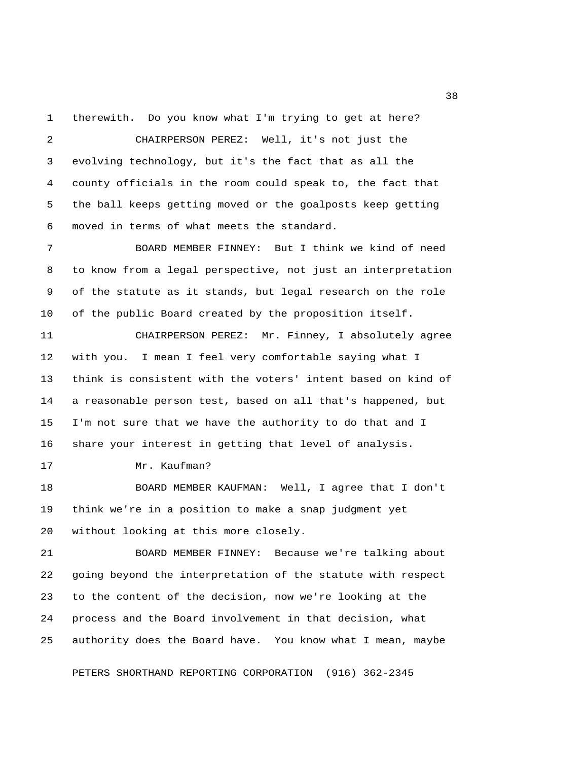1 therewith. Do you know what I'm trying to get at here?

 2 CHAIRPERSON PEREZ: Well, it's not just the 3 evolving technology, but it's the fact that as all the 4 county officials in the room could speak to, the fact that 5 the ball keeps getting moved or the goalposts keep getting 6 moved in terms of what meets the standard. 7 BOARD MEMBER FINNEY: But I think we kind of need 8 to know from a legal perspective, not just an interpretation 9 of the statute as it stands, but legal research on the role 10 of the public Board created by the proposition itself. 11 CHAIRPERSON PEREZ: Mr. Finney, I absolutely agree 12 with you. I mean I feel very comfortable saying what I 13 think is consistent with the voters' intent based on kind of 14 a reasonable person test, based on all that's happened, but 15 I'm not sure that we have the authority to do that and I 16 share your interest in getting that level of analysis. 17 Mr. Kaufman? 18 BOARD MEMBER KAUFMAN: Well, I agree that I don't 19 think we're in a position to make a snap judgment yet 20 without looking at this more closely. 21 BOARD MEMBER FINNEY: Because we're talking about 22 going beyond the interpretation of the statute with respect 23 to the content of the decision, now we're looking at the 24 process and the Board involvement in that decision, what

25 authority does the Board have. You know what I mean, maybe

PETERS SHORTHAND REPORTING CORPORATION (916) 362-2345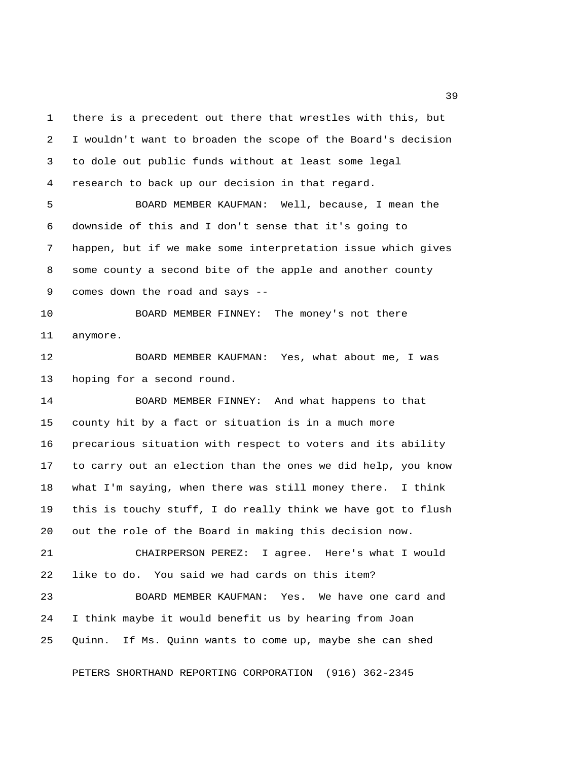1 there is a precedent out there that wrestles with this, but 2 I wouldn't want to broaden the scope of the Board's decision 3 to dole out public funds without at least some legal 4 research to back up our decision in that regard. 5 BOARD MEMBER KAUFMAN: Well, because, I mean the

 6 downside of this and I don't sense that it's going to 7 happen, but if we make some interpretation issue which gives 8 some county a second bite of the apple and another county 9 comes down the road and says --

10 BOARD MEMBER FINNEY: The money's not there 11 anymore.

12 BOARD MEMBER KAUFMAN: Yes, what about me, I was 13 hoping for a second round.

14 BOARD MEMBER FINNEY: And what happens to that 15 county hit by a fact or situation is in a much more 16 precarious situation with respect to voters and its ability 17 to carry out an election than the ones we did help, you know 18 what I'm saying, when there was still money there. I think 19 this is touchy stuff, I do really think we have got to flush 20 out the role of the Board in making this decision now.

21 CHAIRPERSON PEREZ: I agree. Here's what I would 22 like to do. You said we had cards on this item?

23 BOARD MEMBER KAUFMAN: Yes. We have one card and 24 I think maybe it would benefit us by hearing from Joan 25 Quinn. If Ms. Quinn wants to come up, maybe she can shed

PETERS SHORTHAND REPORTING CORPORATION (916) 362-2345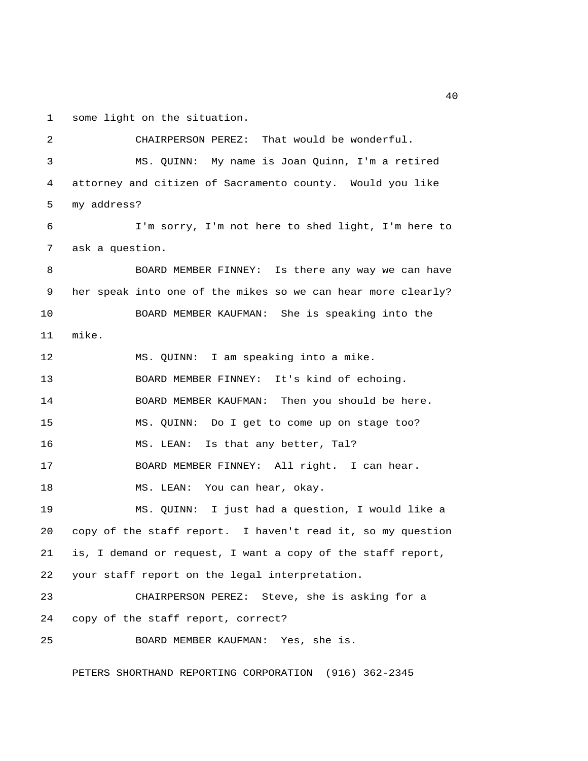1 some light on the situation.

 2 CHAIRPERSON PEREZ: That would be wonderful. 3 MS. QUINN: My name is Joan Quinn, I'm a retired 4 attorney and citizen of Sacramento county. Would you like 5 my address? 6 I'm sorry, I'm not here to shed light, I'm here to 7 ask a question. 8 BOARD MEMBER FINNEY: Is there any way we can have 9 her speak into one of the mikes so we can hear more clearly? 10 BOARD MEMBER KAUFMAN: She is speaking into the 11 mike. 12 MS. QUINN: I am speaking into a mike. 13 BOARD MEMBER FINNEY: It's kind of echoing. 14 BOARD MEMBER KAUFMAN: Then you should be here. 15 MS. QUINN: Do I get to come up on stage too? 16 MS. LEAN: Is that any better, Tal? 17 BOARD MEMBER FINNEY: All right. I can hear. 18 MS. LEAN: You can hear, okay. 19 MS. QUINN: I just had a question, I would like a 20 copy of the staff report. I haven't read it, so my question 21 is, I demand or request, I want a copy of the staff report, 22 your staff report on the legal interpretation. 23 CHAIRPERSON PEREZ: Steve, she is asking for a 24 copy of the staff report, correct? 25 BOARD MEMBER KAUFMAN: Yes, she is.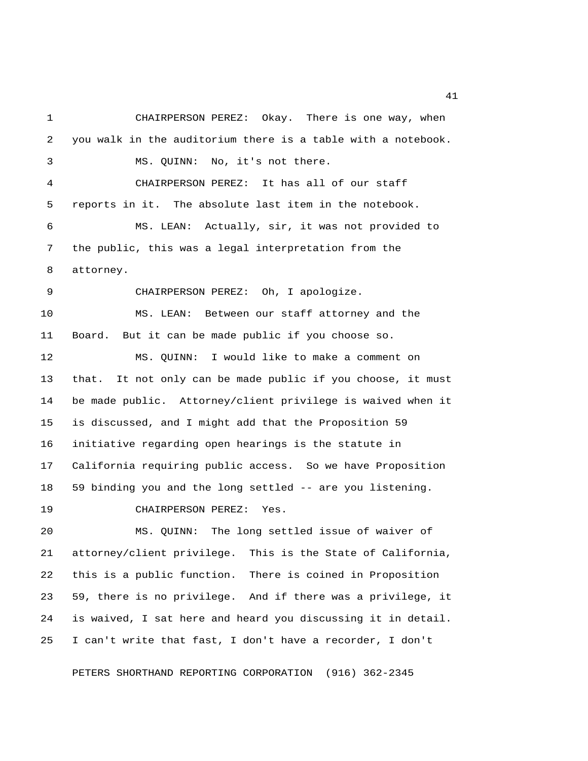1 CHAIRPERSON PEREZ: Okay. There is one way, when 2 you walk in the auditorium there is a table with a notebook. 3 MS. QUINN: No, it's not there. 4 CHAIRPERSON PEREZ: It has all of our staff 5 reports in it. The absolute last item in the notebook. 6 MS. LEAN: Actually, sir, it was not provided to 7 the public, this was a legal interpretation from the 8 attorney. 9 CHAIRPERSON PEREZ: Oh, I apologize. 10 MS. LEAN: Between our staff attorney and the 11 Board. But it can be made public if you choose so. 12 MS. QUINN: I would like to make a comment on 13 that. It not only can be made public if you choose, it must 14 be made public. Attorney/client privilege is waived when it 15 is discussed, and I might add that the Proposition 59 16 initiative regarding open hearings is the statute in 17 California requiring public access. So we have Proposition 18 59 binding you and the long settled -- are you listening. 19 CHAIRPERSON PEREZ: Yes. 20 MS. QUINN: The long settled issue of waiver of 21 attorney/client privilege. This is the State of California, 22 this is a public function. There is coined in Proposition 23 59, there is no privilege. And if there was a privilege, it

25 I can't write that fast, I don't have a recorder, I don't

24 is waived, I sat here and heard you discussing it in detail.

PETERS SHORTHAND REPORTING CORPORATION (916) 362-2345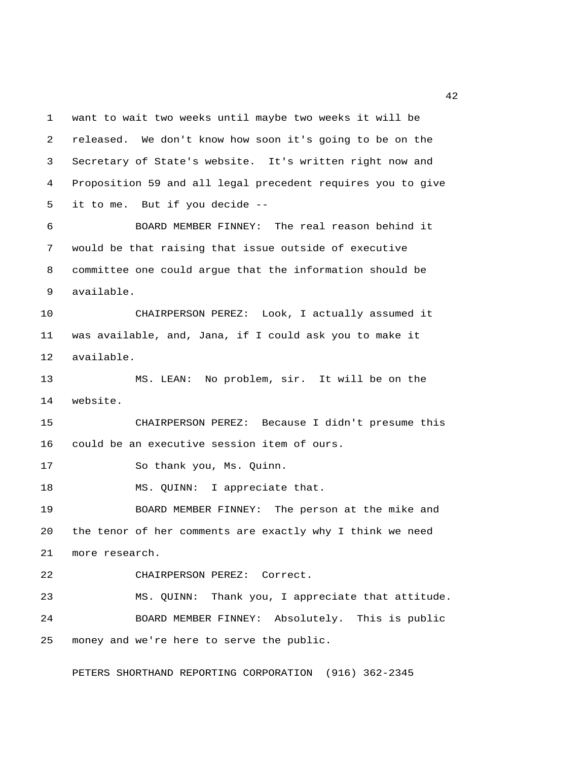1 want to wait two weeks until maybe two weeks it will be 2 released. We don't know how soon it's going to be on the 3 Secretary of State's website. It's written right now and 4 Proposition 59 and all legal precedent requires you to give 5 it to me. But if you decide -- 6 BOARD MEMBER FINNEY: The real reason behind it

 7 would be that raising that issue outside of executive 8 committee one could argue that the information should be 9 available.

10 CHAIRPERSON PEREZ: Look, I actually assumed it 11 was available, and, Jana, if I could ask you to make it 12 available.

13 MS. LEAN: No problem, sir. It will be on the 14 website.

15 CHAIRPERSON PEREZ: Because I didn't presume this 16 could be an executive session item of ours.

17 So thank you, Ms. Quinn.

18 MS. QUINN: I appreciate that.

19 BOARD MEMBER FINNEY: The person at the mike and 20 the tenor of her comments are exactly why I think we need 21 more research.

22 CHAIRPERSON PEREZ: Correct.

23 MS. QUINN: Thank you, I appreciate that attitude. 24 BOARD MEMBER FINNEY: Absolutely. This is public 25 money and we're here to serve the public.

PETERS SHORTHAND REPORTING CORPORATION (916) 362-2345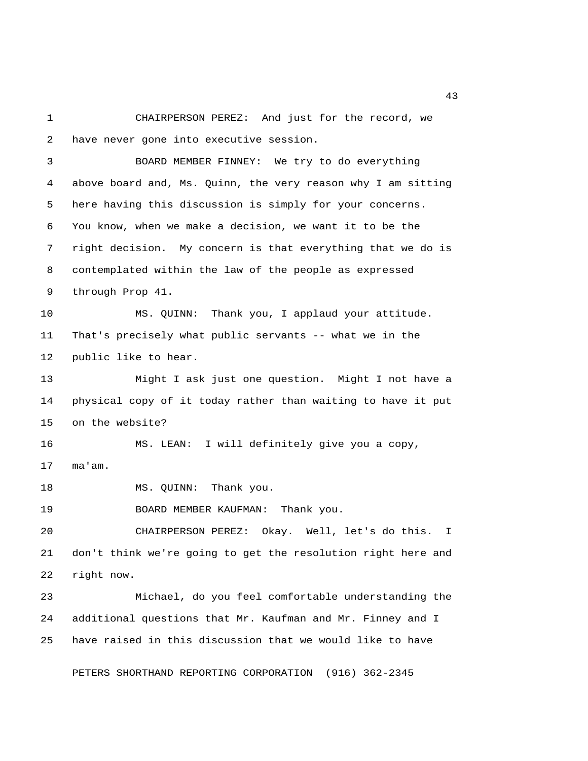1 CHAIRPERSON PEREZ: And just for the record, we 2 have never gone into executive session. 3 BOARD MEMBER FINNEY: We try to do everything 4 above board and, Ms. Quinn, the very reason why I am sitting 5 here having this discussion is simply for your concerns. 6 You know, when we make a decision, we want it to be the 7 right decision. My concern is that everything that we do is 8 contemplated within the law of the people as expressed 9 through Prop 41. 10 MS. QUINN: Thank you, I applaud your attitude. 11 That's precisely what public servants -- what we in the 12 public like to hear. 13 Might I ask just one question. Might I not have a 14 physical copy of it today rather than waiting to have it put 15 on the website? 16 MS. LEAN: I will definitely give you a copy, 17 ma'am. 18 MS. QUINN: Thank you. 19 BOARD MEMBER KAUFMAN: Thank you. 20 CHAIRPERSON PEREZ: Okay. Well, let's do this. I 21 don't think we're going to get the resolution right here and 22 right now. 23 Michael, do you feel comfortable understanding the 24 additional questions that Mr. Kaufman and Mr. Finney and I 25 have raised in this discussion that we would like to have PETERS SHORTHAND REPORTING CORPORATION (916) 362-2345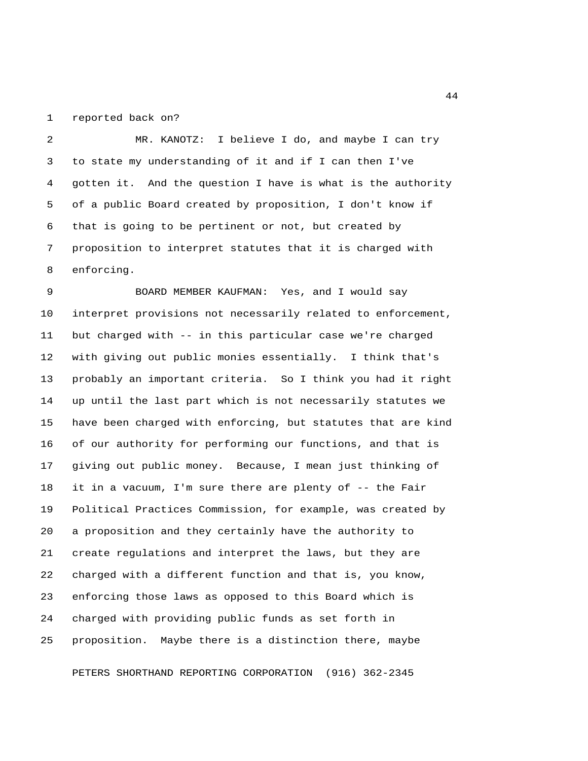1 reported back on?

 2 MR. KANOTZ: I believe I do, and maybe I can try 3 to state my understanding of it and if I can then I've 4 gotten it. And the question I have is what is the authority 5 of a public Board created by proposition, I don't know if 6 that is going to be pertinent or not, but created by 7 proposition to interpret statutes that it is charged with 8 enforcing.

 9 BOARD MEMBER KAUFMAN: Yes, and I would say 10 interpret provisions not necessarily related to enforcement, 11 but charged with -- in this particular case we're charged 12 with giving out public monies essentially. I think that's 13 probably an important criteria. So I think you had it right 14 up until the last part which is not necessarily statutes we 15 have been charged with enforcing, but statutes that are kind 16 of our authority for performing our functions, and that is 17 giving out public money. Because, I mean just thinking of 18 it in a vacuum, I'm sure there are plenty of -- the Fair 19 Political Practices Commission, for example, was created by 20 a proposition and they certainly have the authority to 21 create regulations and interpret the laws, but they are 22 charged with a different function and that is, you know, 23 enforcing those laws as opposed to this Board which is 24 charged with providing public funds as set forth in 25 proposition. Maybe there is a distinction there, maybe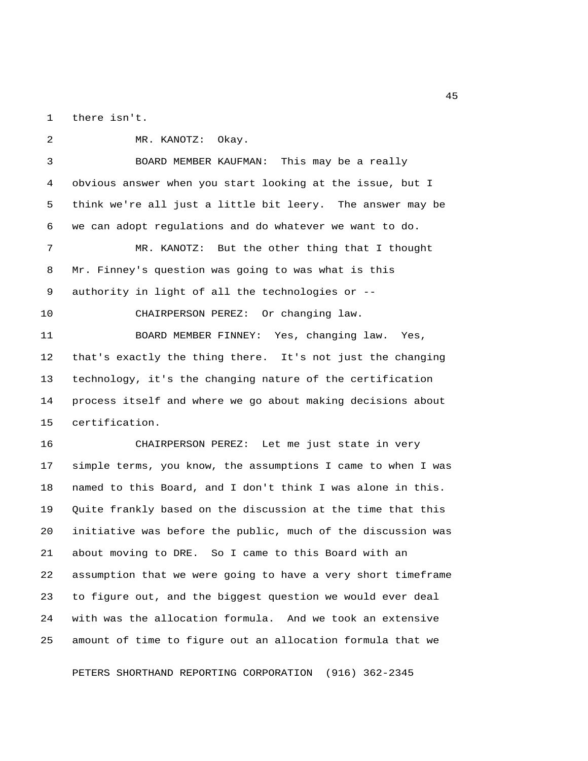1 there isn't.

 2 MR. KANOTZ: Okay. 3 BOARD MEMBER KAUFMAN: This may be a really 4 obvious answer when you start looking at the issue, but I 5 think we're all just a little bit leery. The answer may be 6 we can adopt regulations and do whatever we want to do. 7 MR. KANOTZ: But the other thing that I thought 8 Mr. Finney's question was going to was what is this 9 authority in light of all the technologies or -- 10 CHAIRPERSON PEREZ: Or changing law. 11 BOARD MEMBER FINNEY: Yes, changing law. Yes, 12 that's exactly the thing there. It's not just the changing 13 technology, it's the changing nature of the certification 14 process itself and where we go about making decisions about 15 certification. 16 CHAIRPERSON PEREZ: Let me just state in very 17 simple terms, you know, the assumptions I came to when I was 18 named to this Board, and I don't think I was alone in this. 19 Quite frankly based on the discussion at the time that this 20 initiative was before the public, much of the discussion was 21 about moving to DRE. So I came to this Board with an 22 assumption that we were going to have a very short timeframe

23 to figure out, and the biggest question we would ever deal 24 with was the allocation formula. And we took an extensive 25 amount of time to figure out an allocation formula that we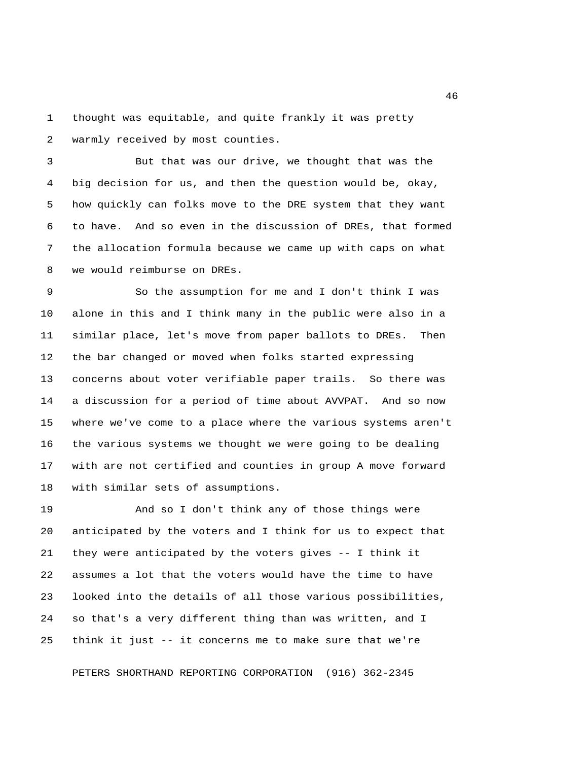1 thought was equitable, and quite frankly it was pretty 2 warmly received by most counties.

 3 But that was our drive, we thought that was the 4 big decision for us, and then the question would be, okay, 5 how quickly can folks move to the DRE system that they want 6 to have. And so even in the discussion of DREs, that formed 7 the allocation formula because we came up with caps on what 8 we would reimburse on DREs.

 9 So the assumption for me and I don't think I was 10 alone in this and I think many in the public were also in a 11 similar place, let's move from paper ballots to DREs. Then 12 the bar changed or moved when folks started expressing 13 concerns about voter verifiable paper trails. So there was 14 a discussion for a period of time about AVVPAT. And so now 15 where we've come to a place where the various systems aren't 16 the various systems we thought we were going to be dealing 17 with are not certified and counties in group A move forward 18 with similar sets of assumptions.

19 And so I don't think any of those things were 20 anticipated by the voters and I think for us to expect that 21 they were anticipated by the voters gives -- I think it 22 assumes a lot that the voters would have the time to have 23 looked into the details of all those various possibilities, 24 so that's a very different thing than was written, and I 25 think it just -- it concerns me to make sure that we're

PETERS SHORTHAND REPORTING CORPORATION (916) 362-2345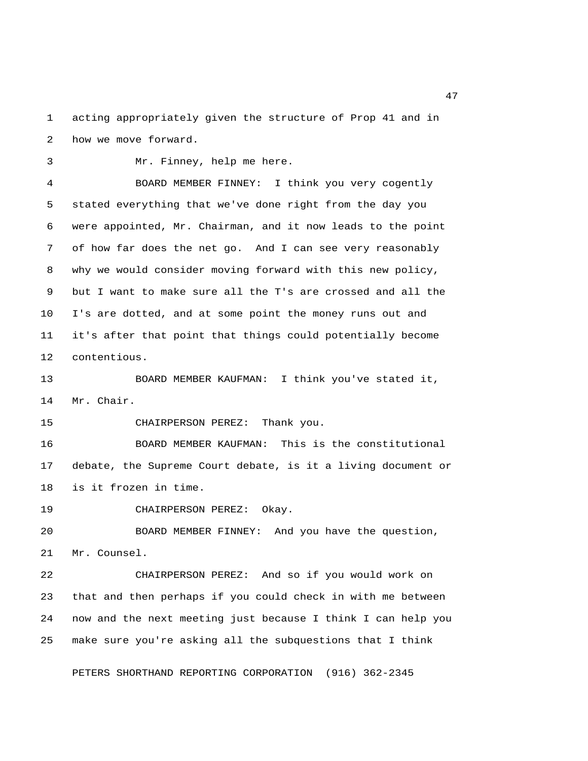1 acting appropriately given the structure of Prop 41 and in 2 how we move forward.

3 Mr. Finney, help me here.

 4 BOARD MEMBER FINNEY: I think you very cogently 5 stated everything that we've done right from the day you 6 were appointed, Mr. Chairman, and it now leads to the point 7 of how far does the net go. And I can see very reasonably 8 why we would consider moving forward with this new policy, 9 but I want to make sure all the T's are crossed and all the 10 I's are dotted, and at some point the money runs out and 11 it's after that point that things could potentially become 12 contentious.

13 BOARD MEMBER KAUFMAN: I think you've stated it, 14 Mr. Chair.

15 CHAIRPERSON PEREZ: Thank you.

16 BOARD MEMBER KAUFMAN: This is the constitutional 17 debate, the Supreme Court debate, is it a living document or 18 is it frozen in time.

19 CHAIRPERSON PEREZ: Okay.

20 BOARD MEMBER FINNEY: And you have the question, 21 Mr. Counsel.

22 CHAIRPERSON PEREZ: And so if you would work on 23 that and then perhaps if you could check in with me between 24 now and the next meeting just because I think I can help you 25 make sure you're asking all the subquestions that I think

PETERS SHORTHAND REPORTING CORPORATION (916) 362-2345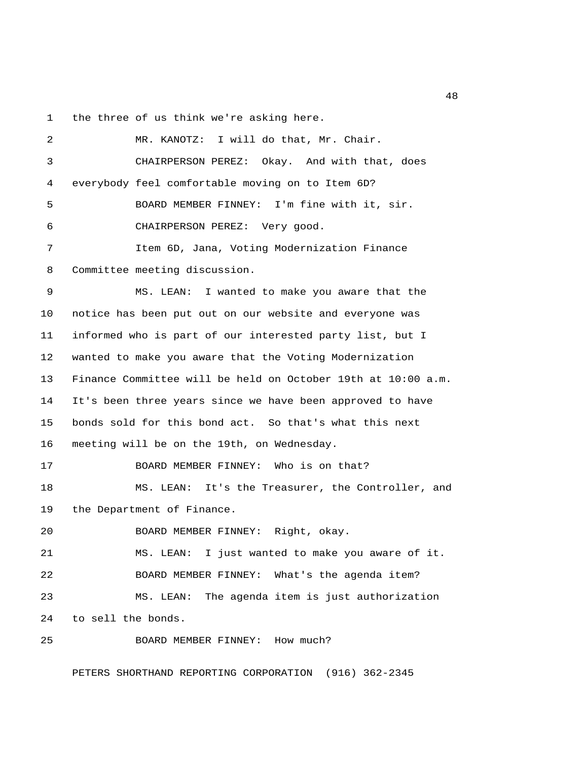1 the three of us think we're asking here.

 2 MR. KANOTZ: I will do that, Mr. Chair. 3 CHAIRPERSON PEREZ: Okay. And with that, does 4 everybody feel comfortable moving on to Item 6D? 5 BOARD MEMBER FINNEY: I'm fine with it, sir. 6 CHAIRPERSON PEREZ: Very good. 7 Item 6D, Jana, Voting Modernization Finance 8 Committee meeting discussion. 9 MS. LEAN: I wanted to make you aware that the 10 notice has been put out on our website and everyone was 11 informed who is part of our interested party list, but I 12 wanted to make you aware that the Voting Modernization 13 Finance Committee will be held on October 19th at 10:00 a.m. 14 It's been three years since we have been approved to have 15 bonds sold for this bond act. So that's what this next 16 meeting will be on the 19th, on Wednesday. 17 BOARD MEMBER FINNEY: Who is on that? 18 MS. LEAN: It's the Treasurer, the Controller, and 19 the Department of Finance. 20 BOARD MEMBER FINNEY: Right, okay. 21 MS. LEAN: I just wanted to make you aware of it. 22 BOARD MEMBER FINNEY: What's the agenda item? 23 MS. LEAN: The agenda item is just authorization 24 to sell the bonds. 25 BOARD MEMBER FINNEY: How much?

PETERS SHORTHAND REPORTING CORPORATION (916) 362-2345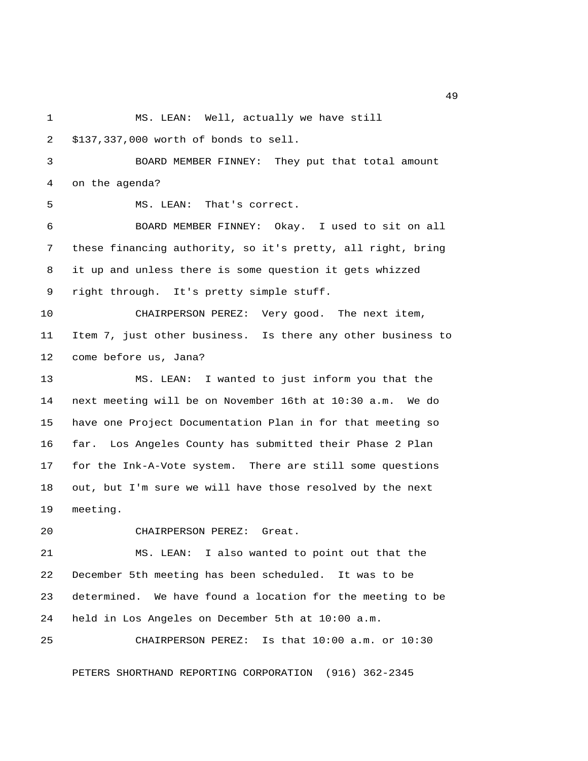- 1 MS. LEAN: Well, actually we have still
- 2 \$137,337,000 worth of bonds to sell.

 3 BOARD MEMBER FINNEY: They put that total amount 4 on the agenda?

5 MS. LEAN: That's correct.

 6 BOARD MEMBER FINNEY: Okay. I used to sit on all 7 these financing authority, so it's pretty, all right, bring 8 it up and unless there is some question it gets whizzed 9 right through. It's pretty simple stuff.

10 CHAIRPERSON PEREZ: Very good. The next item, 11 Item 7, just other business. Is there any other business to 12 come before us, Jana?

13 MS. LEAN: I wanted to just inform you that the 14 next meeting will be on November 16th at 10:30 a.m. We do 15 have one Project Documentation Plan in for that meeting so 16 far. Los Angeles County has submitted their Phase 2 Plan 17 for the Ink-A-Vote system. There are still some questions 18 out, but I'm sure we will have those resolved by the next 19 meeting.

20 CHAIRPERSON PEREZ: Great.

21 MS. LEAN: I also wanted to point out that the 22 December 5th meeting has been scheduled. It was to be 23 determined. We have found a location for the meeting to be 24 held in Los Angeles on December 5th at 10:00 a.m.

25 CHAIRPERSON PEREZ: Is that 10:00 a.m. or 10:30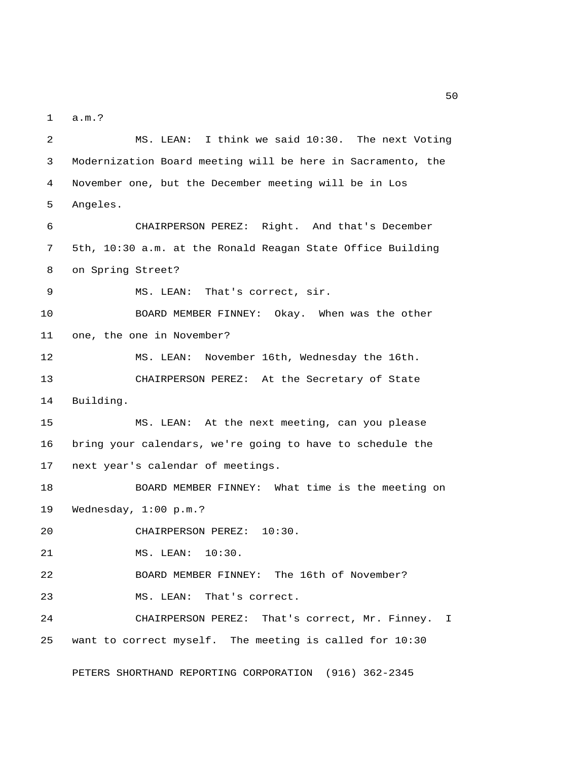1 a.m.?

 2 MS. LEAN: I think we said 10:30. The next Voting 3 Modernization Board meeting will be here in Sacramento, the 4 November one, but the December meeting will be in Los 5 Angeles. 6 CHAIRPERSON PEREZ: Right. And that's December 7 5th, 10:30 a.m. at the Ronald Reagan State Office Building 8 on Spring Street? 9 MS. LEAN: That's correct, sir. 10 BOARD MEMBER FINNEY: Okay. When was the other 11 one, the one in November? 12 MS. LEAN: November 16th, Wednesday the 16th. 13 CHAIRPERSON PEREZ: At the Secretary of State 14 Building. 15 MS. LEAN: At the next meeting, can you please 16 bring your calendars, we're going to have to schedule the 17 next year's calendar of meetings. 18 BOARD MEMBER FINNEY: What time is the meeting on 19 Wednesday, 1:00 p.m.? 20 CHAIRPERSON PEREZ: 10:30. 21 MS. LEAN: 10:30. 22 BOARD MEMBER FINNEY: The 16th of November? 23 MS. LEAN: That's correct. 24 CHAIRPERSON PEREZ: That's correct, Mr. Finney. I 25 want to correct myself. The meeting is called for 10:30 PETERS SHORTHAND REPORTING CORPORATION (916) 362-2345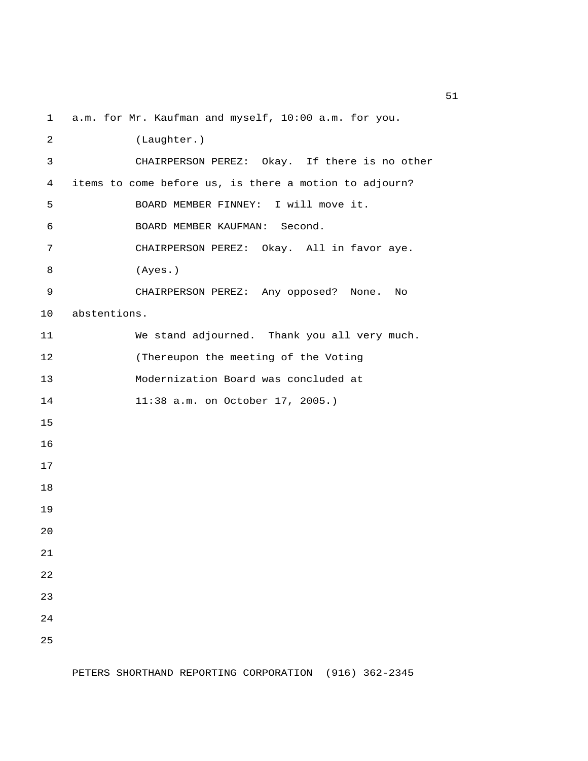1 a.m. for Mr. Kaufman and myself, 10:00 a.m. for you.

 2 (Laughter.) 3 CHAIRPERSON PEREZ: Okay. If there is no other 4 items to come before us, is there a motion to adjourn? 5 BOARD MEMBER FINNEY: I will move it. 6 BOARD MEMBER KAUFMAN: Second. 7 CHAIRPERSON PEREZ: Okay. All in favor aye. 8 (Ayes.) 9 CHAIRPERSON PEREZ: Any opposed? None. No 10 abstentions. 11 We stand adjourned. Thank you all very much. 12 (Thereupon the meeting of the Voting 13 Modernization Board was concluded at 14 11:38 a.m. on October 17, 2005.) 15 16 17 18 19 20 21 22 23 24 25